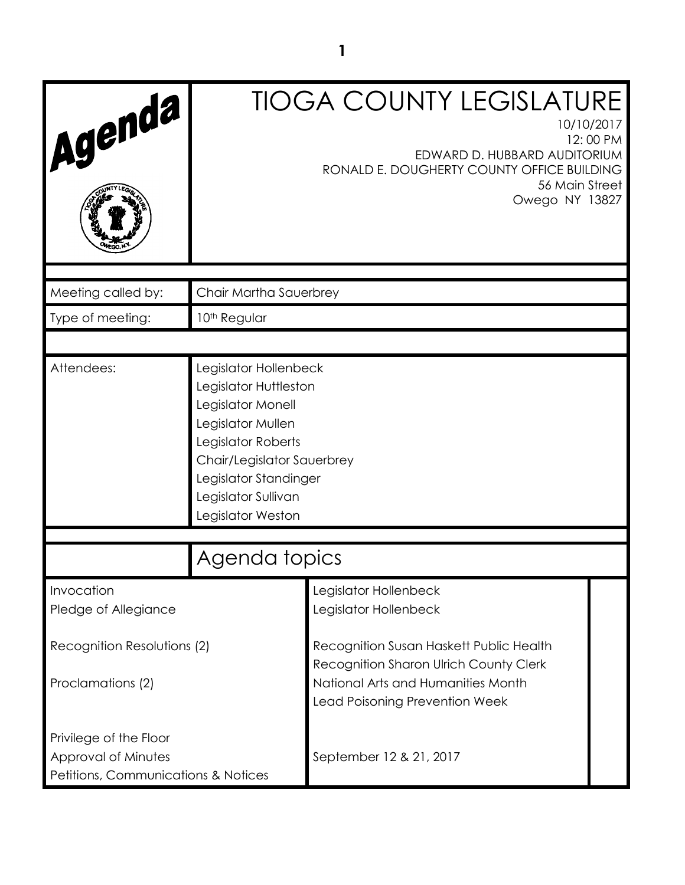| Agenda                                           | <b>TIOGA COUNTY LEGISLATURE</b><br>10/10/2017<br>12:00 PM<br>EDWARD D. HUBBARD AUDITORIUM<br>RONALD E. DOUGHERTY COUNTY OFFICE BUILDING<br>56 Main Street<br>Owego NY 13827                                       |                                                                                                                                                                  |  |  |  |
|--------------------------------------------------|-------------------------------------------------------------------------------------------------------------------------------------------------------------------------------------------------------------------|------------------------------------------------------------------------------------------------------------------------------------------------------------------|--|--|--|
| Meeting called by:                               | Chair Martha Sauerbrey                                                                                                                                                                                            |                                                                                                                                                                  |  |  |  |
| Type of meeting:                                 | 10 <sup>th</sup> Regular                                                                                                                                                                                          |                                                                                                                                                                  |  |  |  |
|                                                  |                                                                                                                                                                                                                   |                                                                                                                                                                  |  |  |  |
| Attendees:                                       | Legislator Hollenbeck<br>Legislator Huttleston<br>Legislator Monell<br>Legislator Mullen<br>Legislator Roberts<br>Chair/Legislator Sauerbrey<br>Legislator Standinger<br>Legislator Sullivan<br>Legislator Weston |                                                                                                                                                                  |  |  |  |
|                                                  | Agenda topics                                                                                                                                                                                                     |                                                                                                                                                                  |  |  |  |
| Invocation<br>Pledge of Allegiance               |                                                                                                                                                                                                                   | Legislator Hollenbeck<br>Legislator Hollenbeck                                                                                                                   |  |  |  |
| Recognition Resolutions (2)<br>Proclamations (2) |                                                                                                                                                                                                                   | Recognition Susan Haskett Public Health<br><b>Recognition Sharon Ulrich County Clerk</b><br>National Arts and Humanities Month<br>Lead Poisoning Prevention Week |  |  |  |
| Privilege of the Floor<br>Approval of Minutes    | September 12 & 21, 2017<br>Petitions, Communications & Notices                                                                                                                                                    |                                                                                                                                                                  |  |  |  |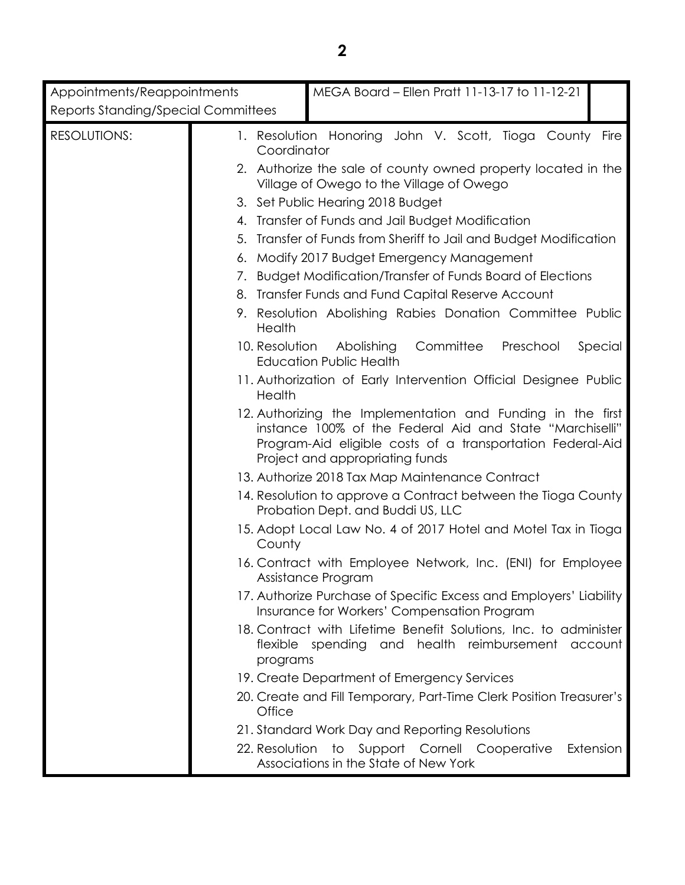| Appointments/Reappointments                                                                                            |                                                | MEGA Board - Ellen Pratt 11-13-17 to 11-12-21                                                                                                                                                                                                                                                                                                                                                                                                                                                                                                                                                                                                                                                                                                                                                                                                                                                                                                            |
|------------------------------------------------------------------------------------------------------------------------|------------------------------------------------|----------------------------------------------------------------------------------------------------------------------------------------------------------------------------------------------------------------------------------------------------------------------------------------------------------------------------------------------------------------------------------------------------------------------------------------------------------------------------------------------------------------------------------------------------------------------------------------------------------------------------------------------------------------------------------------------------------------------------------------------------------------------------------------------------------------------------------------------------------------------------------------------------------------------------------------------------------|
|                                                                                                                        |                                                |                                                                                                                                                                                                                                                                                                                                                                                                                                                                                                                                                                                                                                                                                                                                                                                                                                                                                                                                                          |
| <b>Reports Standing/Special Committees</b><br><b>RESOLUTIONS:</b><br>Coordinator<br>Health<br>10. Resolution<br>Health |                                                | 1. Resolution Honoring John V. Scott, Tioga County Fire<br>2. Authorize the sale of county owned property located in the<br>Village of Owego to the Village of Owego<br>3. Set Public Hearing 2018 Budget<br>4. Transfer of Funds and Jail Budget Modification<br>5. Transfer of Funds from Sheriff to Jail and Budget Modification<br>6. Modify 2017 Budget Emergency Management<br>7. Budget Modification/Transfer of Funds Board of Elections<br>8. Transfer Funds and Fund Capital Reserve Account<br>9. Resolution Abolishing Rabies Donation Committee Public<br>Committee<br>Abolishing<br>Preschool<br>Special<br><b>Education Public Health</b><br>11. Authorization of Early Intervention Official Designee Public<br>12. Authorizing the Implementation and Funding in the first<br>instance 100% of the Federal Aid and State "Marchiselli"<br>Program-Aid eligible costs of a transportation Federal-Aid<br>Project and appropriating funds |
|                                                                                                                        | County<br>programs<br>Office<br>22. Resolution | 13. Authorize 2018 Tax Map Maintenance Contract<br>14. Resolution to approve a Contract between the Tioga County<br>Probation Dept. and Buddi US, LLC<br>15. Adopt Local Law No. 4 of 2017 Hotel and Motel Tax in Tioga<br>16. Contract with Employee Network, Inc. (ENI) for Employee<br>Assistance Program<br>17. Authorize Purchase of Specific Excess and Employers' Liability<br>Insurance for Workers' Compensation Program<br>18. Contract with Lifetime Benefit Solutions, Inc. to administer<br>flexible spending and health reimbursement account<br>19. Create Department of Emergency Services<br>20. Create and Fill Temporary, Part-Time Clerk Position Treasurer's<br>21. Standard Work Day and Reporting Resolutions<br>to Support Cornell Cooperative<br>Extension<br>Associations in the State of New York                                                                                                                             |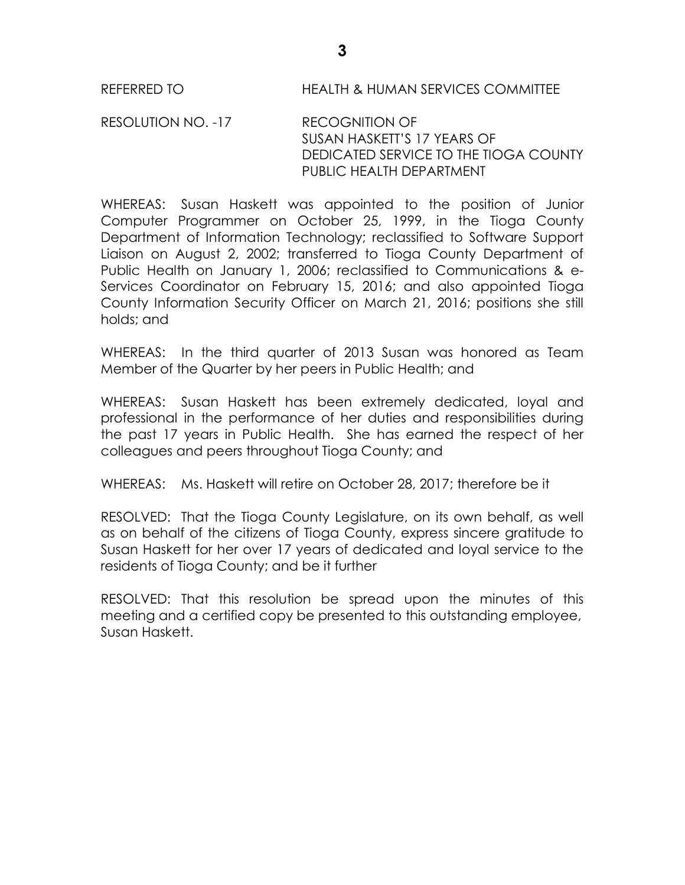## REFERRED TO HEALTH & HUMAN SERVICES COMMITTEE

RESOLUTION NO. -17 RECOGNITION OF SUSAN HASKETT'S 17 YEARS OF DEDICATED SERVICE TO THE TIOGA COUNTY PUBLIC HEALTH DEPARTMENT

WHEREAS: Susan Haskett was appointed to the position of Junior Computer Programmer on October 25, 1999, in the Tioga County Department of Information Technology; reclassified to Software Support Liaison on August 2, 2002; transferred to Tioga County Department of Public Health on January 1, 2006; reclassified to Communications & e-Services Coordinator on February 15, 2016; and also appointed Tioga County Information Security Officer on March 21, 2016; positions she still holds; and

WHEREAS: In the third quarter of 2013 Susan was honored as Team Member of the Quarter by her peers in Public Health; and

WHEREAS: Susan Haskett has been extremely dedicated, loyal and professional in the performance of her duties and responsibilities during the past 17 years in Public Health. She has earned the respect of her colleagues and peers throughout Tioga County; and

WHEREAS: Ms. Haskett will retire on October 28, 2017; therefore be it

RESOLVED: That the Tioga County Legislature, on its own behalf, as well as on behalf of the citizens of Tioga County, express sincere gratitude to Susan Haskett for her over 17 years of dedicated and loyal service to the residents of Tioga County; and be it further

RESOLVED: That this resolution be spread upon the minutes of this meeting and a certified copy be presented to this outstanding employee, Susan Haskett.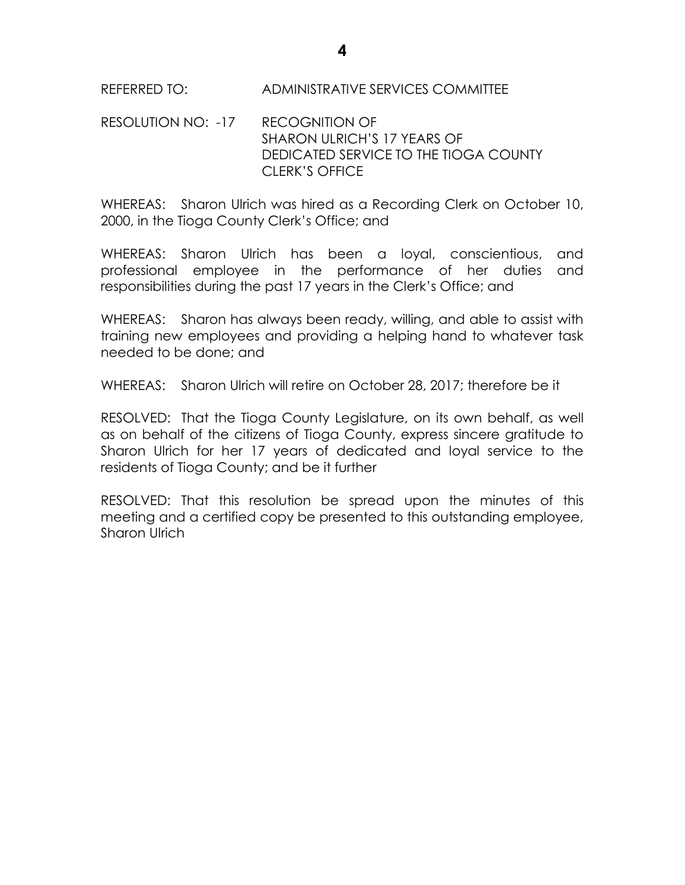RESOLUTION NO: -17 RECOGNITION OF SHARON ULRICH'S 17 YEARS OF DEDICATED SERVICE TO THE TIOGA COUNTY CLERK'S OFFICE

WHEREAS: Sharon Ulrich was hired as a Recording Clerk on October 10, 2000, in the Tioga County Clerk's Office; and

WHEREAS: Sharon Ulrich has been a loyal, conscientious, and professional employee in the performance of her duties and responsibilities during the past 17 years in the Clerk's Office; and

WHEREAS: Sharon has always been ready, willing, and able to assist with training new employees and providing a helping hand to whatever task needed to be done; and

WHEREAS: Sharon Ulrich will retire on October 28, 2017; therefore be it

RESOLVED: That the Tioga County Legislature, on its own behalf, as well as on behalf of the citizens of Tioga County, express sincere gratitude to Sharon Ulrich for her 17 years of dedicated and loyal service to the residents of Tioga County; and be it further

RESOLVED: That this resolution be spread upon the minutes of this meeting and a certified copy be presented to this outstanding employee, Sharon Ulrich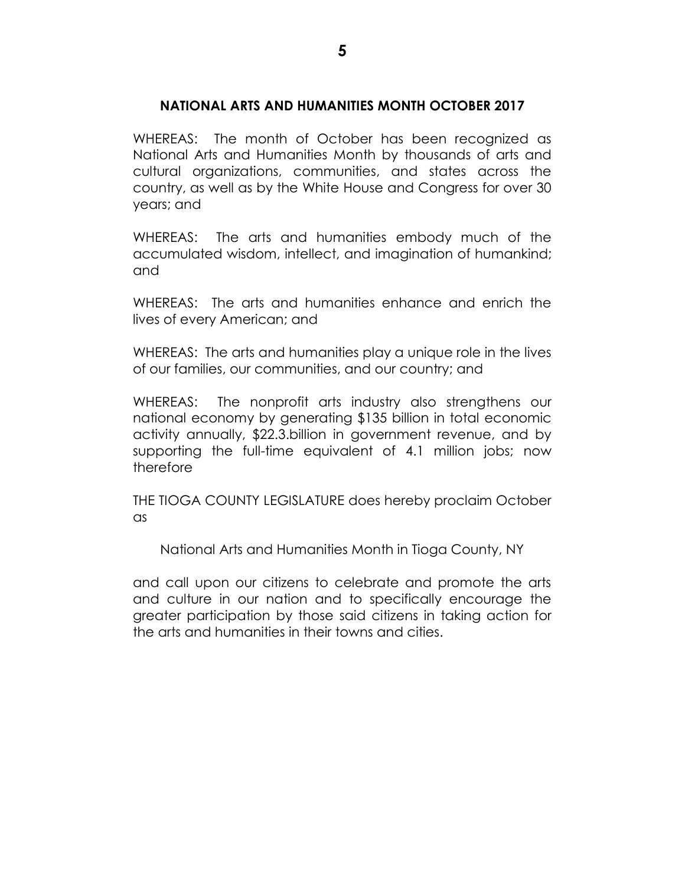## **NATIONAL ARTS AND HUMANITIES MONTH OCTOBER 2017**

WHEREAS: The month of October has been recognized as National Arts and Humanities Month by thousands of arts and cultural organizations, communities, and states across the country, as well as by the White House and Congress for over 30 years; and

WHEREAS: The arts and humanities embody much of the accumulated wisdom, intellect, and imagination of humankind; and

WHEREAS: The arts and humanities enhance and enrich the lives of every American; and

WHEREAS: The arts and humanities play a unique role in the lives of our families, our communities, and our country; and

WHEREAS: The nonprofit arts industry also strengthens our national economy by generating \$135 billion in total economic activity annually, \$22.3.billion in government revenue, and by supporting the full-time equivalent of 4.1 million jobs; now therefore

THE TIOGA COUNTY LEGISLATURE does hereby proclaim October as

National Arts and Humanities Month in Tioga County, NY

and call upon our citizens to celebrate and promote the arts and culture in our nation and to specifically encourage the greater participation by those said citizens in taking action for the arts and humanities in their towns and cities.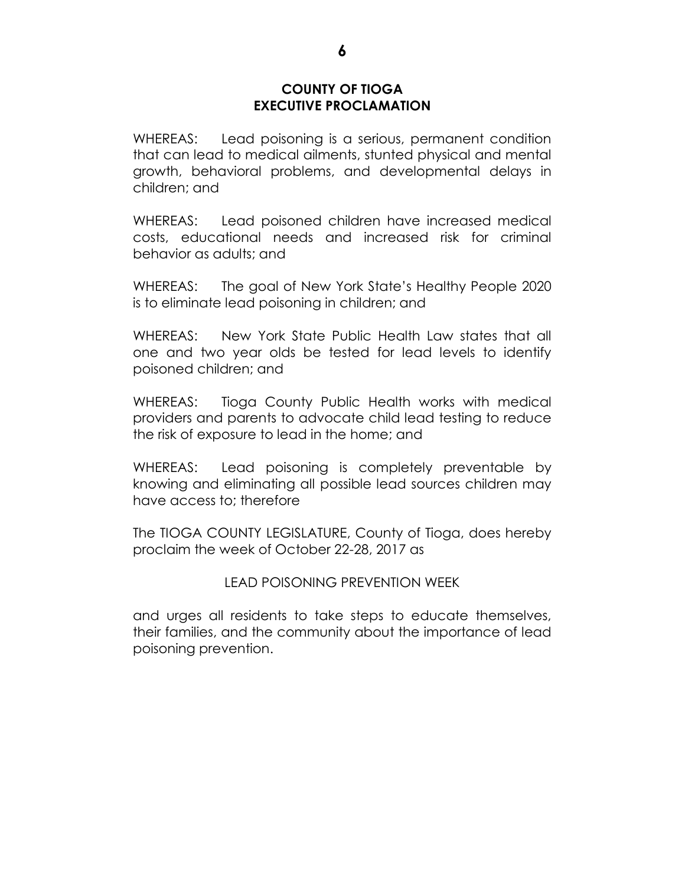## **COUNTY OF TIOGA EXECUTIVE PROCLAMATION**

WHEREAS: Lead poisoning is a serious, permanent condition that can lead to medical ailments, stunted physical and mental growth, behavioral problems, and developmental delays in children; and

WHEREAS: Lead poisoned children have increased medical costs, educational needs and increased risk for criminal behavior as adults; and

WHEREAS: The goal of New York State's Healthy People 2020 is to eliminate lead poisoning in children; and

WHEREAS: New York State Public Health Law states that all one and two year olds be tested for lead levels to identify poisoned children; and

WHEREAS: Tioga County Public Health works with medical providers and parents to advocate child lead testing to reduce the risk of exposure to lead in the home; and

WHEREAS: Lead poisoning is completely preventable by knowing and eliminating all possible lead sources children may have access to; therefore

The TIOGA COUNTY LEGISLATURE, County of Tioga, does hereby proclaim the week of October 22-28, 2017 as

## LEAD POISONING PREVENTION WEEK

and urges all residents to take steps to educate themselves, their families, and the community about the importance of lead poisoning prevention.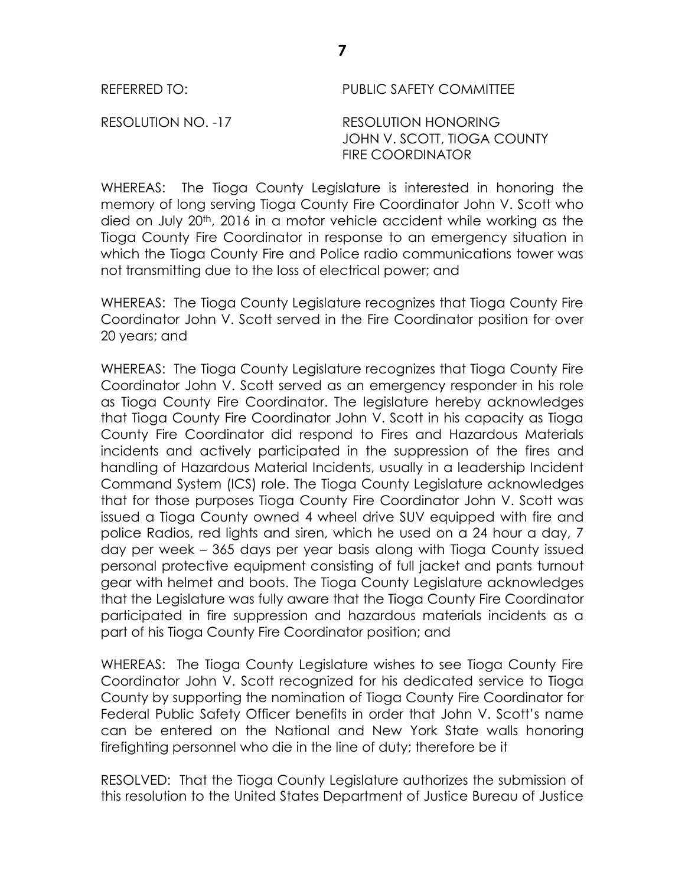## REFERRED TO: PUBLIC SAFETY COMMITTEE

RESOLUTION NO. -17 RESOLUTION HONORING JOHN V. SCOTT, TIOGA COUNTY FIRE COORDINATOR

WHEREAS: The Tioga County Legislature is interested in honoring the memory of long serving Tioga County Fire Coordinator John V. Scott who died on July 20<sup>th</sup>, 2016 in a motor vehicle accident while working as the Tioga County Fire Coordinator in response to an emergency situation in which the Tioga County Fire and Police radio communications tower was not transmitting due to the loss of electrical power; and

WHEREAS: The Tioga County Legislature recognizes that Tioga County Fire Coordinator John V. Scott served in the Fire Coordinator position for over 20 years; and

WHEREAS: The Tioga County Legislature recognizes that Tioga County Fire Coordinator John V. Scott served as an emergency responder in his role as Tioga County Fire Coordinator. The legislature hereby acknowledges that Tioga County Fire Coordinator John V. Scott in his capacity as Tioga County Fire Coordinator did respond to Fires and Hazardous Materials incidents and actively participated in the suppression of the fires and handling of Hazardous Material Incidents, usually in a leadership Incident Command System (ICS) role. The Tioga County Legislature acknowledges that for those purposes Tioga County Fire Coordinator John V. Scott was issued a Tioga County owned 4 wheel drive SUV equipped with fire and police Radios, red lights and siren, which he used on a 24 hour a day, 7 day per week – 365 days per year basis along with Tioga County issued personal protective equipment consisting of full jacket and pants turnout gear with helmet and boots. The Tioga County Legislature acknowledges that the Legislature was fully aware that the Tioga County Fire Coordinator participated in fire suppression and hazardous materials incidents as a part of his Tioga County Fire Coordinator position; and

WHEREAS: The Tioga County Legislature wishes to see Tioga County Fire Coordinator John V. Scott recognized for his dedicated service to Tioga County by supporting the nomination of Tioga County Fire Coordinator for Federal Public Safety Officer benefits in order that John V. Scott's name can be entered on the National and New York State walls honoring firefighting personnel who die in the line of duty; therefore be it

RESOLVED: That the Tioga County Legislature authorizes the submission of this resolution to the United States Department of Justice Bureau of Justice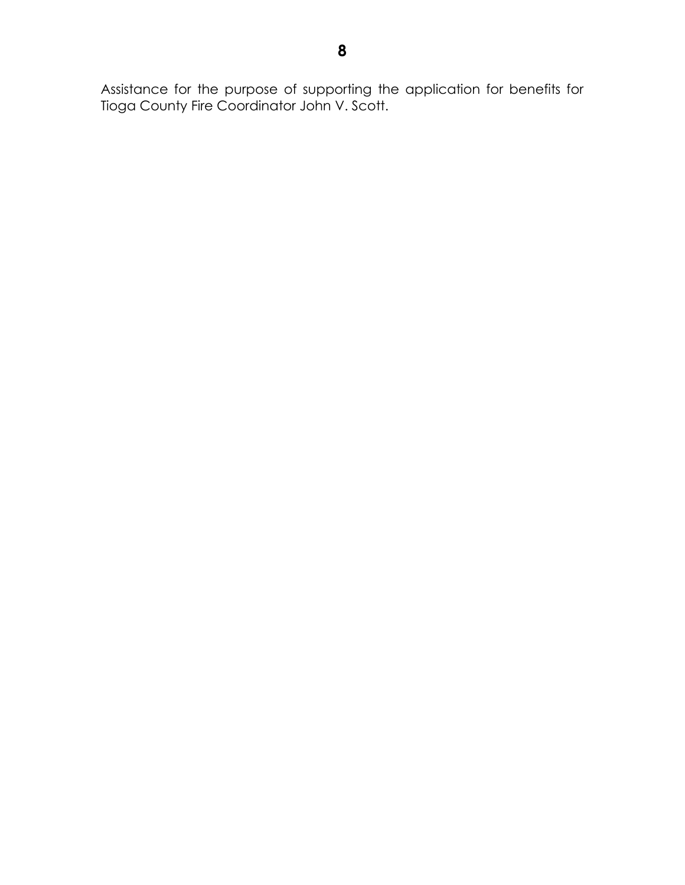Assistance for the purpose of supporting the application for benefits for Tioga County Fire Coordinator John V. Scott.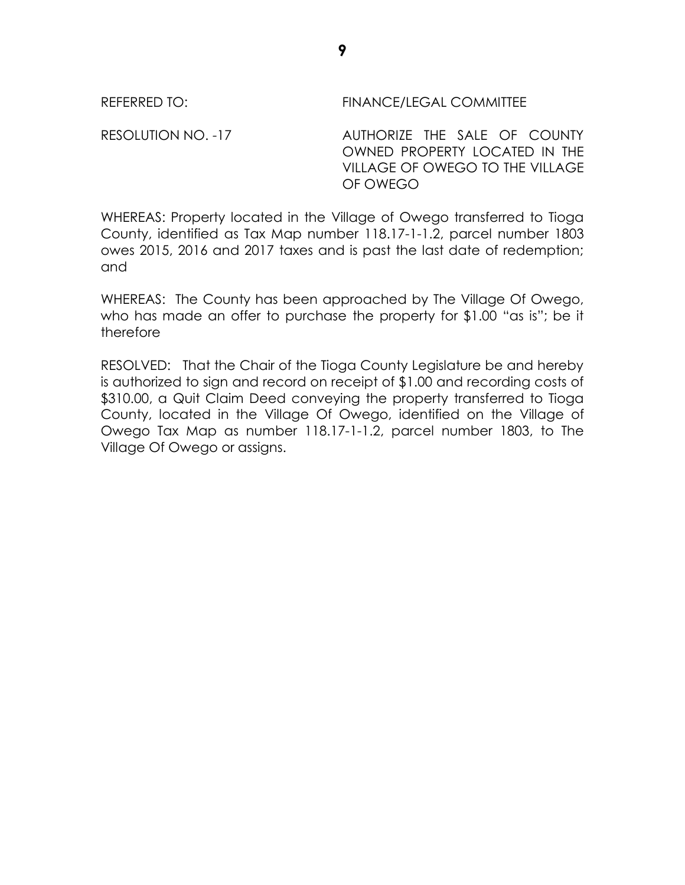REFERRED TO: FINANCE/LEGAL COMMITTEE

RESOLUTION NO. -17 AUTHORIZE THE SALE OF COUNTY OWNED PROPERTY LOCATED IN THE VILLAGE OF OWEGO TO THE VILLAGE OF OWEGO

WHEREAS: Property located in the Village of Owego transferred to Tioga County, identified as Tax Map number 118.17-1-1.2, parcel number 1803 owes 2015, 2016 and 2017 taxes and is past the last date of redemption; and

WHEREAS: The County has been approached by The Village Of Owego, who has made an offer to purchase the property for \$1.00 "as is"; be it therefore

RESOLVED: That the Chair of the Tioga County Legislature be and hereby is authorized to sign and record on receipt of \$1.00 and recording costs of \$310.00, a Quit Claim Deed conveying the property transferred to Tioga County, located in the Village Of Owego, identified on the Village of Owego Tax Map as number 118.17-1-1.2, parcel number 1803, to The Village Of Owego or assigns.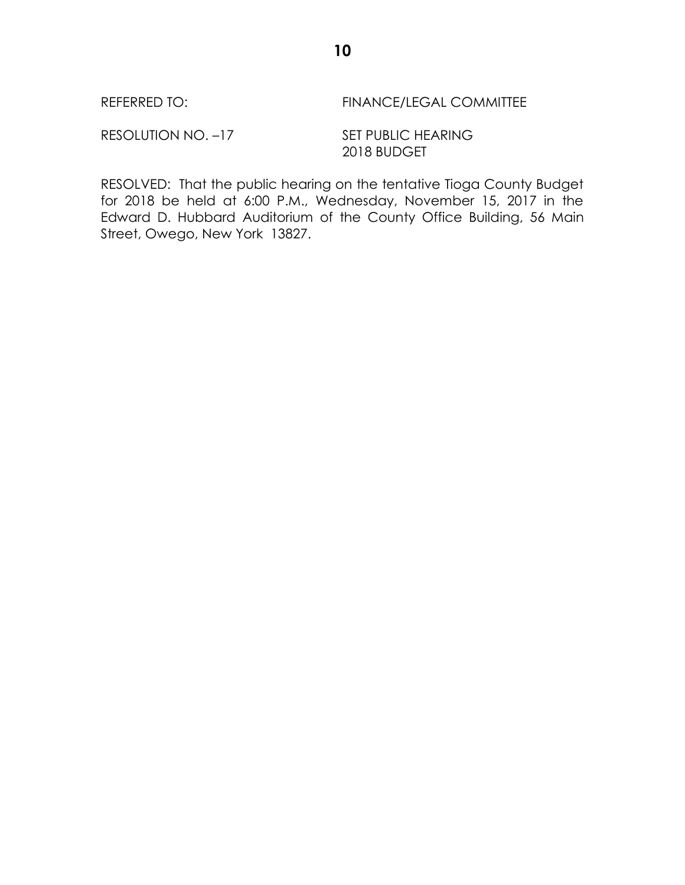RESOLUTION NO. -17 SET PUBLIC HEARING

2018 BUDGET

RESOLVED: That the public hearing on the tentative Tioga County Budget for 2018 be held at 6:00 P.M., Wednesday, November 15, 2017 in the Edward D. Hubbard Auditorium of the County Office Building, 56 Main Street, Owego, New York 13827.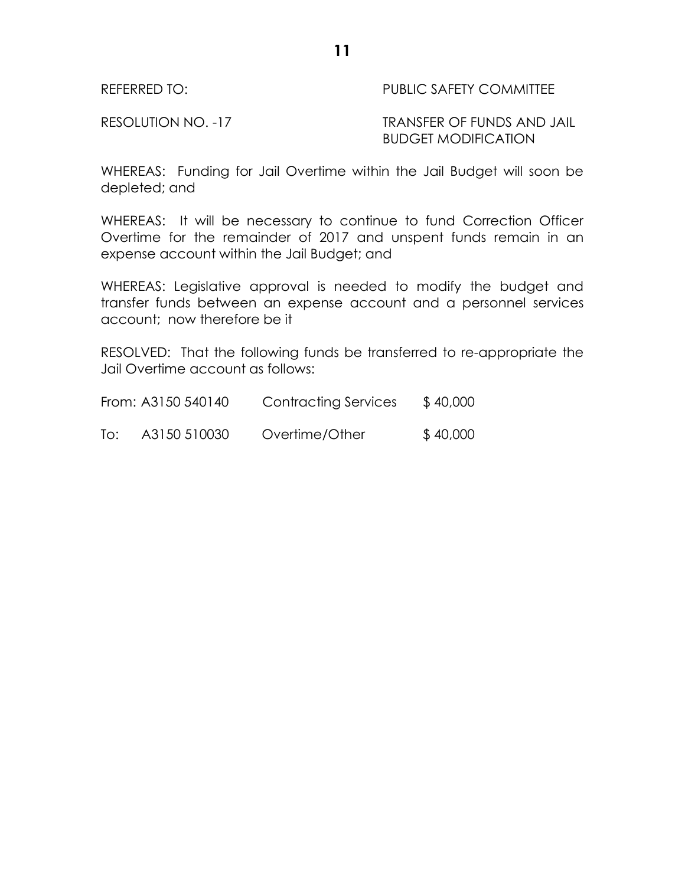REFERRED TO: PUBLIC SAFETY COMMITTEE

RESOLUTION NO. -17 TRANSFER OF FUNDS AND JAIL BUDGET MODIFICATION

WHEREAS: Funding for Jail Overtime within the Jail Budget will soon be depleted; and

WHEREAS: It will be necessary to continue to fund Correction Officer Overtime for the remainder of 2017 and unspent funds remain in an expense account within the Jail Budget; and

WHEREAS: Legislative approval is needed to modify the budget and transfer funds between an expense account and a personnel services account; now therefore be it

RESOLVED: That the following funds be transferred to re-appropriate the Jail Overtime account as follows:

|     | From: A3150 540140 | <b>Contracting Services</b> | \$40,000 |
|-----|--------------------|-----------------------------|----------|
| To: | A3150 510030       | Overtime/Other              | \$40,000 |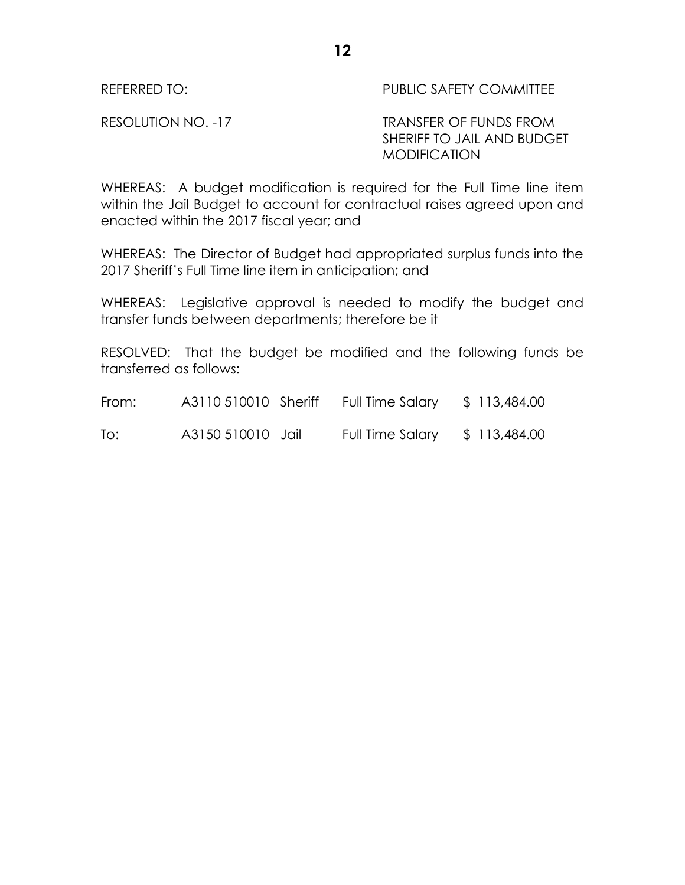REFERRED TO: THE PUBLIC SAFETY COMMITTEE

RESOLUTION NO. -17 TRANSFER OF FUNDS FROM SHERIFF TO JAIL AND BUDGET **MODIFICATION** 

WHEREAS: A budget modification is required for the Full Time line item within the Jail Budget to account for contractual raises agreed upon and enacted within the 2017 fiscal year; and

WHEREAS: The Director of Budget had appropriated surplus funds into the 2017 Sheriff's Full Time line item in anticipation; and

WHEREAS: Legislative approval is needed to modify the budget and transfer funds between departments; therefore be it

RESOLVED: That the budget be modified and the following funds be transferred as follows:

| From: | A3110 510010 Sheriff | Full Time Salary        | \$ 113,484.00 |
|-------|----------------------|-------------------------|---------------|
| To:   | A3150 510010 Jail    | <b>Full Time Salary</b> | \$ 113,484.00 |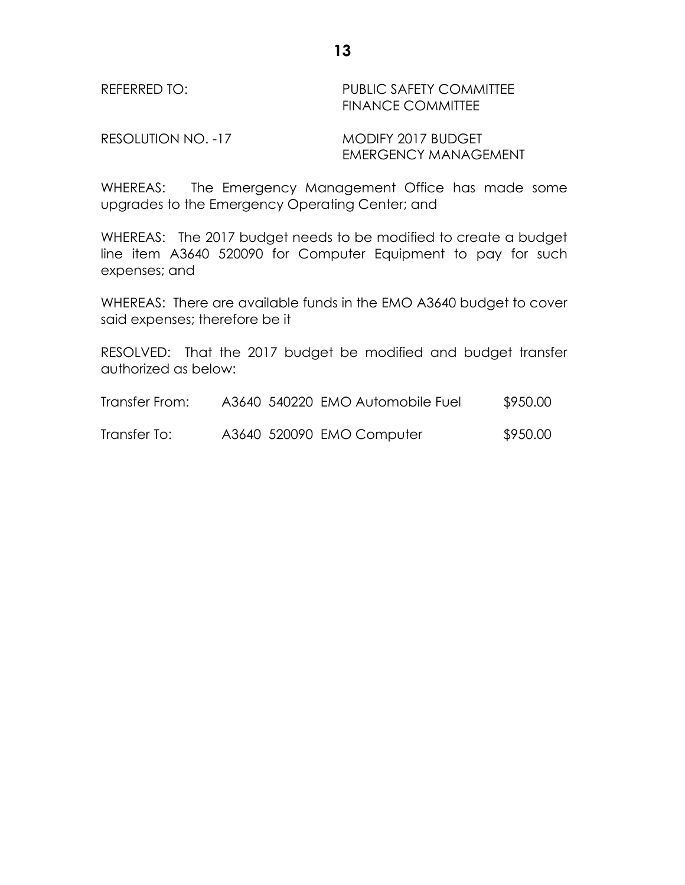### REFERRED TO: PUBLIC SAFETY COMMITTEE FINANCE COMMITTEE

RESOLUTION NO. -17 MODIFY 2017 BUDGET

EMERGENCY MANAGEMENT

WHEREAS: The Emergency Management Office has made some upgrades to the Emergency Operating Center; and

WHEREAS: The 2017 budget needs to be modified to create a budget line item A3640 520090 for Computer Equipment to pay for such expenses; and

WHEREAS: There are available funds in the EMO A3640 budget to cover said expenses; therefore be it

RESOLVED: That the 2017 budget be modified and budget transfer authorized as below:

| Transfer From: | A3640 540220 EMO Automobile Fuel | \$950.00 |
|----------------|----------------------------------|----------|
| Transfer To:   | A3640 520090 EMO Computer        | \$950.00 |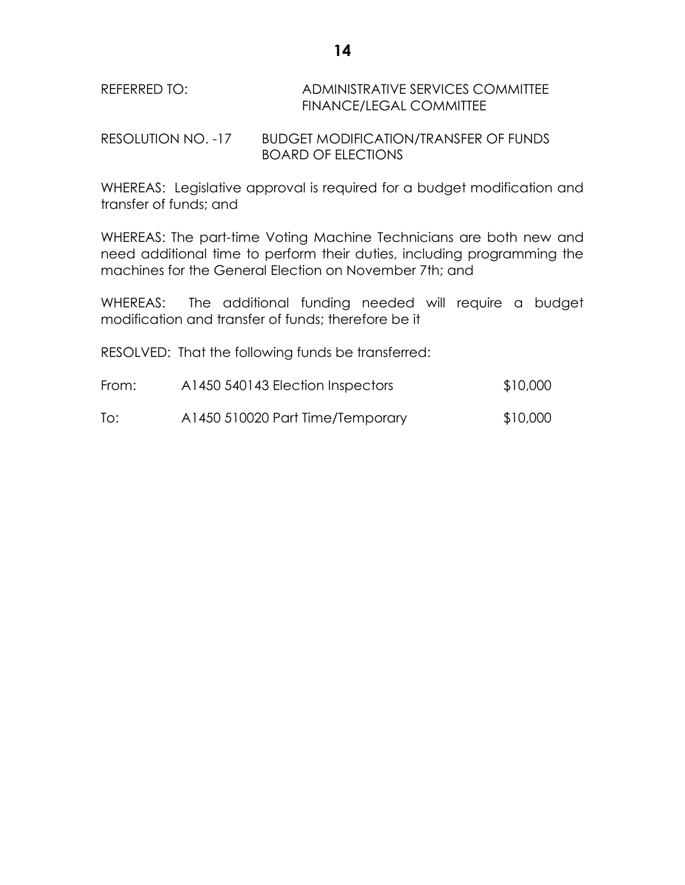## REFERRED TO: ADMINISTRATIVE SERVICES COMMITTEE FINANCE/LEGAL COMMITTEE

## RESOLUTION NO. -17 BUDGET MODIFICATION/TRANSFER OF FUNDS BOARD OF ELECTIONS

WHEREAS: Legislative approval is required for a budget modification and transfer of funds; and

WHEREAS: The part-time Voting Machine Technicians are both new and need additional time to perform their duties, including programming the machines for the General Election on November 7th; and

WHEREAS: The additional funding needed will require a budget modification and transfer of funds; therefore be it

RESOLVED: That the following funds be transferred:

| From: | A1450 540143 Election Inspectors | \$10,000 |
|-------|----------------------------------|----------|
| To:   | A1450 510020 Part Time/Temporary | \$10,000 |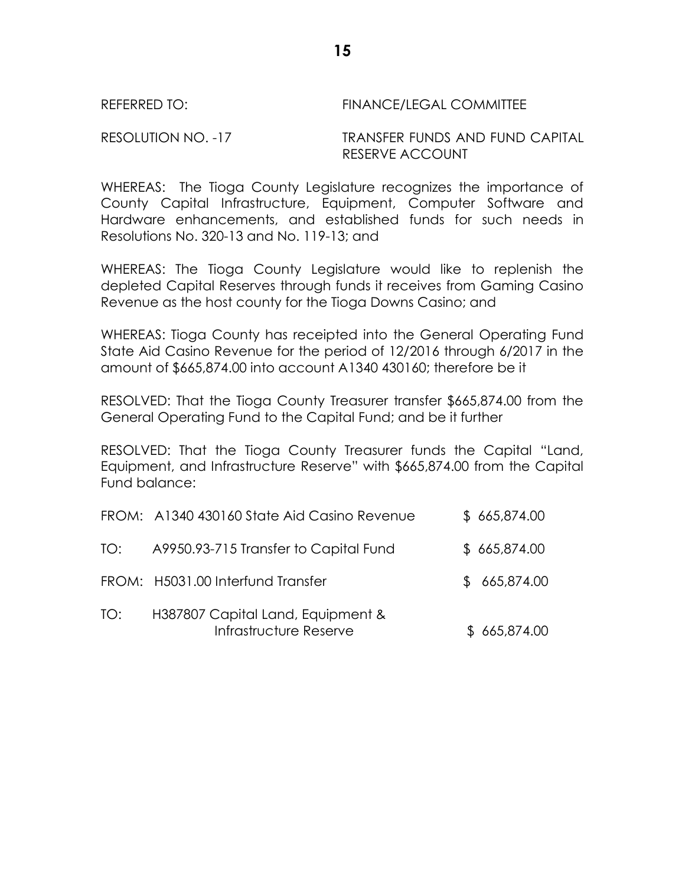### REFERRED TO: FINANCE/LEGAL COMMITTEE

RESOLUTION NO. -17 TRANSFER FUNDS AND FUND CAPITAL RESERVE ACCOUNT

WHEREAS: The Tioga County Legislature recognizes the importance of County Capital Infrastructure, Equipment, Computer Software and Hardware enhancements, and established funds for such needs in Resolutions No. 320-13 and No. 119-13; and

WHEREAS: The Tioga County Legislature would like to replenish the depleted Capital Reserves through funds it receives from Gaming Casino Revenue as the host county for the Tioga Downs Casino; and

WHEREAS: Tioga County has receipted into the General Operating Fund State Aid Casino Revenue for the period of 12/2016 through 6/2017 in the amount of \$665,874.00 into account A1340 430160; therefore be it

RESOLVED: That the Tioga County Treasurer transfer \$665,874.00 from the General Operating Fund to the Capital Fund; and be it further

RESOLVED: That the Tioga County Treasurer funds the Capital "Land, Equipment, and Infrastructure Reserve" with \$665,874.00 from the Capital Fund balance:

|     | FROM: A1340 430160 State Aid Casino Revenue                 | \$665,874.00 |
|-----|-------------------------------------------------------------|--------------|
| TO: | A9950.93-715 Transfer to Capital Fund                       | \$665,874.00 |
|     | FROM: H5031.00 Interfund Transfer                           | \$665,874.00 |
| TO: | H387807 Capital Land, Equipment &<br>Infrastructure Reserve | \$665,874.00 |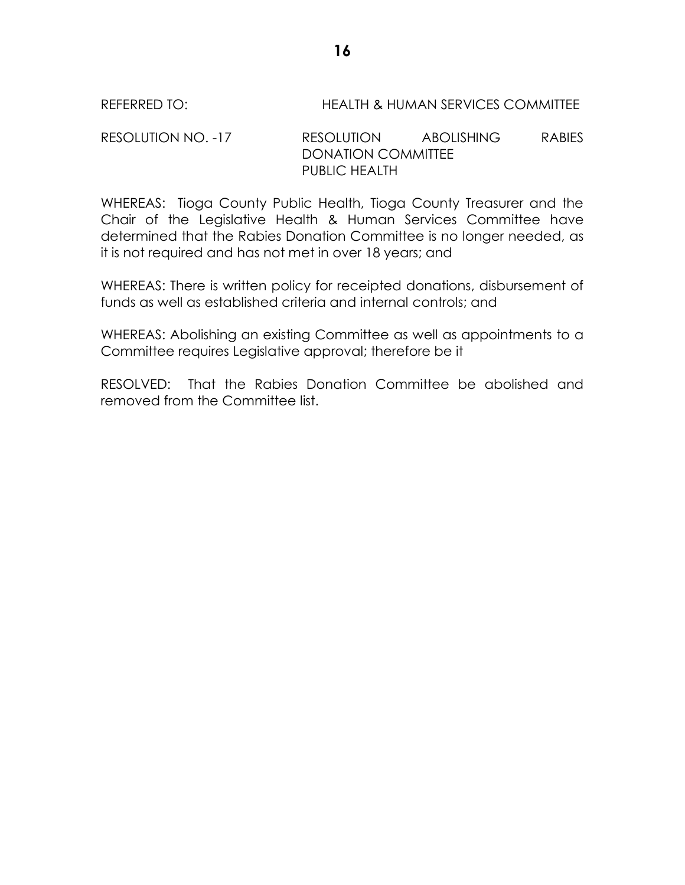## REFERRED TO: HEALTH & HUMAN SERVICES COMMITTEE

## RESOLUTION NO. -17 RESOLUTION ABOLISHING RABIES DONATION COMMITTEE PUBLIC HEALTH

WHEREAS: Tioga County Public Health, Tioga County Treasurer and the Chair of the Legislative Health & Human Services Committee have determined that the Rabies Donation Committee is no longer needed, as it is not required and has not met in over 18 years; and

WHEREAS: There is written policy for receipted donations, disbursement of funds as well as established criteria and internal controls; and

WHEREAS: Abolishing an existing Committee as well as appointments to a Committee requires Legislative approval; therefore be it

RESOLVED: That the Rabies Donation Committee be abolished and removed from the Committee list.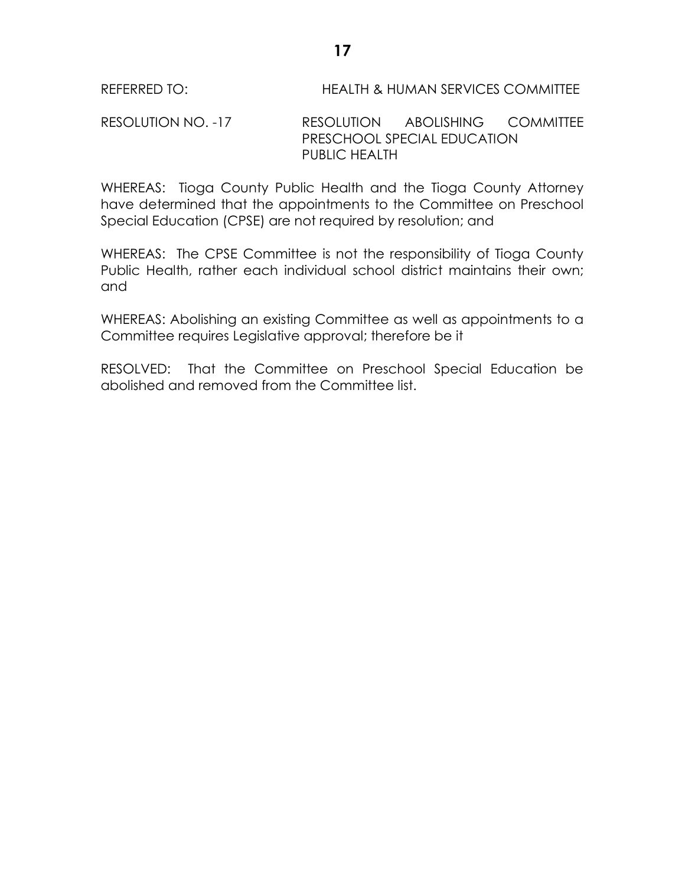REFERRED TO: HEALTH & HUMAN SERVICES COMMITTEE

## RESOLUTION NO. -17 RESOLUTION ABOLISHING COMMITTEE PRESCHOOL SPECIAL EDUCATION PUBLIC HEALTH

WHEREAS: Tioga County Public Health and the Tioga County Attorney have determined that the appointments to the Committee on Preschool Special Education (CPSE) are not required by resolution; and

WHEREAS: The CPSE Committee is not the responsibility of Tioga County Public Health, rather each individual school district maintains their own; and

WHEREAS: Abolishing an existing Committee as well as appointments to a Committee requires Legislative approval; therefore be it

RESOLVED: That the Committee on Preschool Special Education be abolished and removed from the Committee list.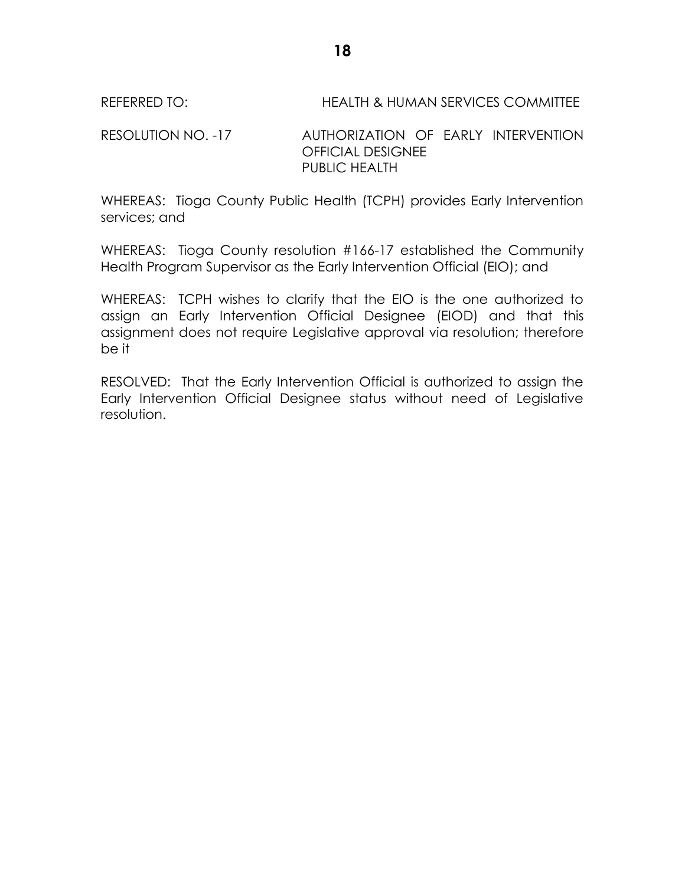#### REFERRED TO: HEALTH & HUMAN SERVICES COMMITTEE

RESOLUTION NO. -17 AUTHORIZATION OF EARLY INTERVENTION OFFICIAL DESIGNEE PUBLIC HEALTH

WHEREAS: Tioga County Public Health (TCPH) provides Early Intervention services; and

WHEREAS: Tioga County resolution #166-17 established the Community Health Program Supervisor as the Early Intervention Official (EIO); and

WHEREAS: TCPH wishes to clarify that the EIO is the one authorized to assign an Early Intervention Official Designee (EIOD) and that this assignment does not require Legislative approval via resolution; therefore be it

RESOLVED: That the Early Intervention Official is authorized to assign the Early Intervention Official Designee status without need of Legislative resolution.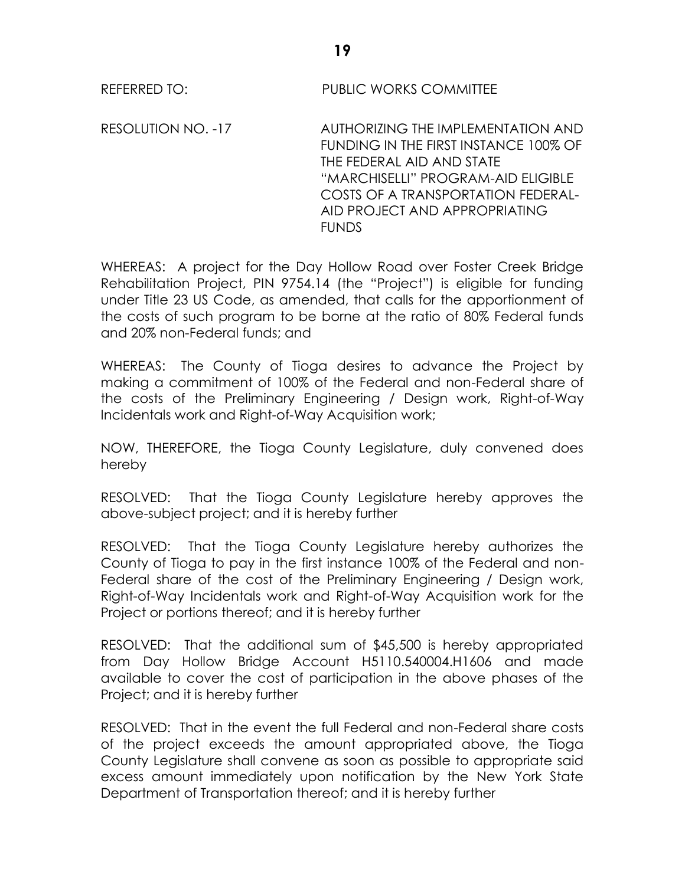REFERRED TO: PUBLIC WORKS COMMITTEE

RESOLUTION NO. -17 AUTHORIZING THE IMPLEMENTATION AND FUNDING IN THE FIRST INSTANCE 100% OF THE FEDERAL AID AND STATE "MARCHISELLI" PROGRAM-AID ELIGIBLE COSTS OF A TRANSPORTATION FEDERAL-AID PROJECT AND APPROPRIATING **FUNDS** 

WHEREAS: A project for the Day Hollow Road over Foster Creek Bridge Rehabilitation Project, PIN 9754.14 (the "Project") is eligible for funding under Title 23 US Code, as amended, that calls for the apportionment of the costs of such program to be borne at the ratio of 80% Federal funds and 20% non-Federal funds; and

WHEREAS: The County of Tioga desires to advance the Project by making a commitment of 100% of the Federal and non-Federal share of the costs of the Preliminary Engineering / Design work, Right-of-Way Incidentals work and Right-of-Way Acquisition work;

NOW, THEREFORE, the Tioga County Legislature, duly convened does hereby

RESOLVED: That the Tioga County Legislature hereby approves the above-subject project; and it is hereby further

RESOLVED: That the Tioga County Legislature hereby authorizes the County of Tioga to pay in the first instance 100% of the Federal and non-Federal share of the cost of the Preliminary Engineering / Design work, Right-of-Way Incidentals work and Right-of-Way Acquisition work for the Project or portions thereof; and it is hereby further

RESOLVED: That the additional sum of \$45,500 is hereby appropriated from Day Hollow Bridge Account H5110.540004.H1606 and made available to cover the cost of participation in the above phases of the Project; and it is hereby further

RESOLVED: That in the event the full Federal and non-Federal share costs of the project exceeds the amount appropriated above, the Tioga County Legislature shall convene as soon as possible to appropriate said excess amount immediately upon notification by the New York State Department of Transportation thereof; and it is hereby further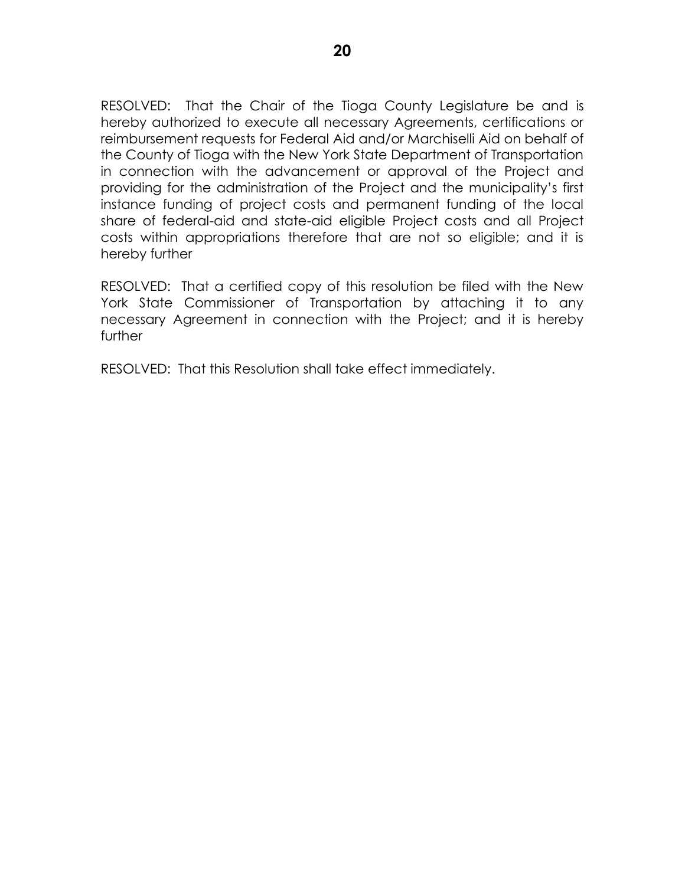RESOLVED: That the Chair of the Tioga County Legislature be and is hereby authorized to execute all necessary Agreements, certifications or reimbursement requests for Federal Aid and/or Marchiselli Aid on behalf of the County of Tioga with the New York State Department of Transportation in connection with the advancement or approval of the Project and providing for the administration of the Project and the municipality's first instance funding of project costs and permanent funding of the local share of federal-aid and state-aid eligible Project costs and all Project costs within appropriations therefore that are not so eligible; and it is hereby further

RESOLVED: That a certified copy of this resolution be filed with the New York State Commissioner of Transportation by attaching it to any necessary Agreement in connection with the Project; and it is hereby further

RESOLVED: That this Resolution shall take effect immediately.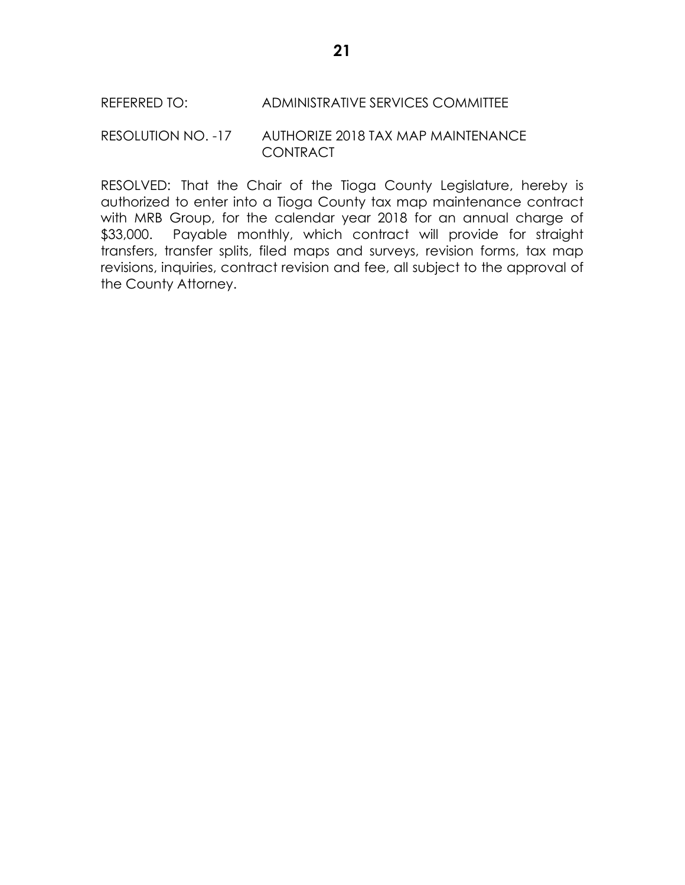## REFERRED TO: ADMINISTRATIVE SERVICES COMMITTEE

## RESOLUTION NO. -17 AUTHORIZE 2018 TAX MAP MAINTENANCE **CONTRACT**

RESOLVED: That the Chair of the Tioga County Legislature, hereby is authorized to enter into a Tioga County tax map maintenance contract with MRB Group, for the calendar year 2018 for an annual charge of \$33,000. Payable monthly, which contract will provide for straight transfers, transfer splits, filed maps and surveys, revision forms, tax map revisions, inquiries, contract revision and fee, all subject to the approval of the County Attorney.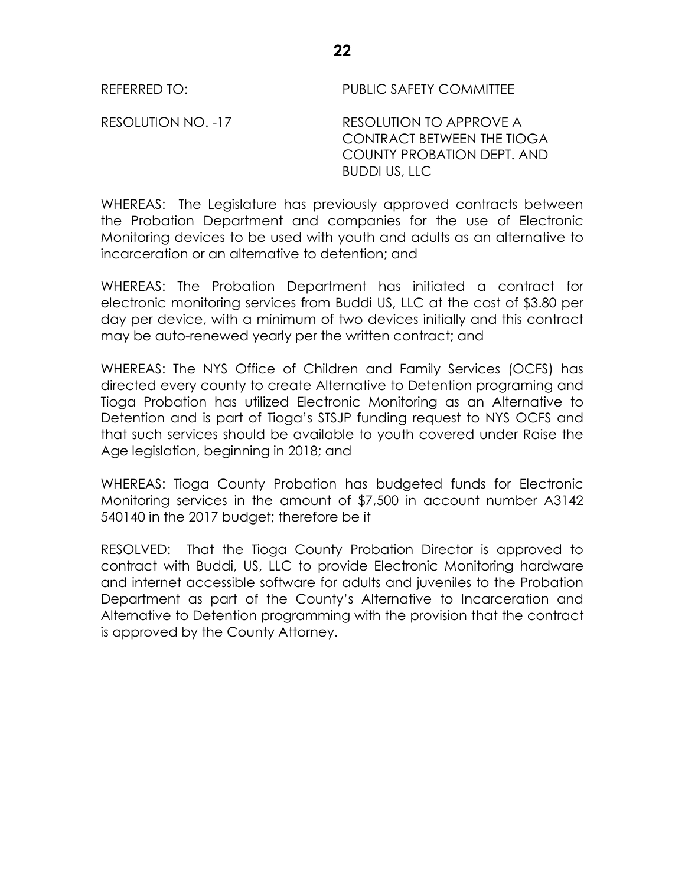REFERRED TO: PUBLIC SAFETY COMMITTEE

RESOLUTION NO. -17 RESOLUTION TO APPROVE A CONTRACT BETWEEN THE TIOGA COUNTY PROBATION DEPT. AND BUDDI US, LLC

WHEREAS: The Legislature has previously approved contracts between the Probation Department and companies for the use of Electronic Monitoring devices to be used with youth and adults as an alternative to incarceration or an alternative to detention; and

WHEREAS: The Probation Department has initiated a contract for electronic monitoring services from Buddi US, LLC at the cost of \$3.80 per day per device, with a minimum of two devices initially and this contract may be auto-renewed yearly per the written contract; and

WHEREAS: The NYS Office of Children and Family Services (OCFS) has directed every county to create Alternative to Detention programing and Tioga Probation has utilized Electronic Monitoring as an Alternative to Detention and is part of Tioga's STSJP funding request to NYS OCFS and that such services should be available to youth covered under Raise the Age legislation, beginning in 2018; and

WHEREAS: Tioga County Probation has budgeted funds for Electronic Monitoring services in the amount of \$7,500 in account number A3142 540140 in the 2017 budget; therefore be it

RESOLVED: That the Tioga County Probation Director is approved to contract with Buddi, US, LLC to provide Electronic Monitoring hardware and internet accessible software for adults and juveniles to the Probation Department as part of the County's Alternative to Incarceration and Alternative to Detention programming with the provision that the contract is approved by the County Attorney.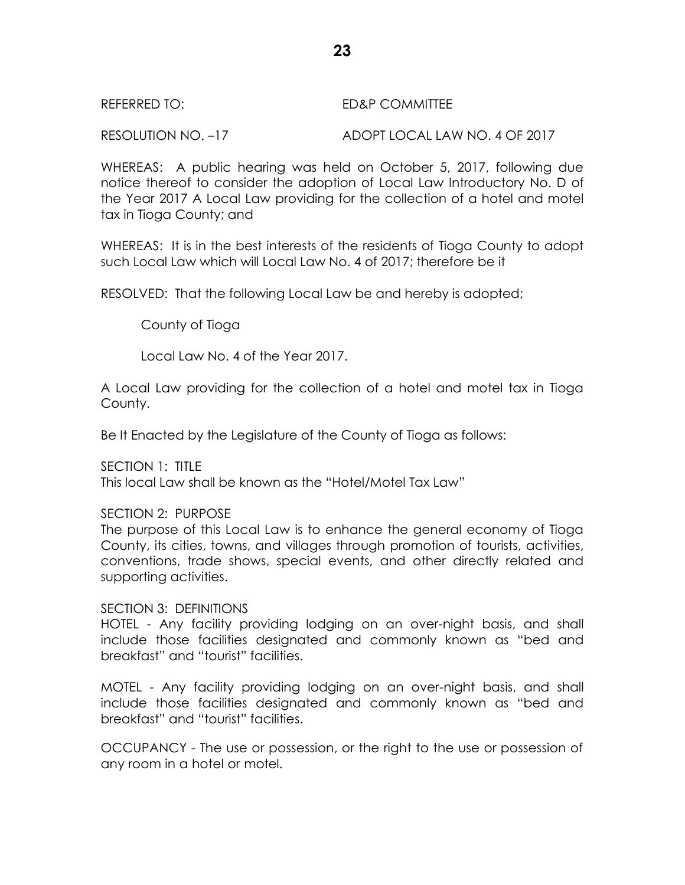### REFERRED TO: ED&P COMMITTEE

RESOLUTION NO. –17 ADOPT LOCAL LAW NO. 4 OF 2017

WHEREAS: A public hearing was held on October 5, 2017, following due notice thereof to consider the adoption of Local Law Introductory No. D of the Year 2017 A Local Law providing for the collection of a hotel and motel tax in Tioga County; and

WHEREAS: It is in the best interests of the residents of Tioga County to adopt such Local Law which will Local Law No. 4 of 2017; therefore be it

RESOLVED: That the following Local Law be and hereby is adopted;

County of Tioga

Local Law No. 4 of the Year 2017.

A Local Law providing for the collection of a hotel and motel tax in Tioga County.

Be It Enacted by the Legislature of the County of Tioga as follows:

SECTION 1: TITLE

This local Law shall be known as the "Hotel/Motel Tax Law"

#### SECTION 2: PURPOSE

The purpose of this Local Law is to enhance the general economy of Tioga County, its cities, towns, and villages through promotion of tourists, activities, conventions, trade shows, special events, and other directly related and supporting activities.

SECTION 3: DEFINITIONS

HOTEL - Any facility providing lodging on an over-night basis, and shall include those facilities designated and commonly known as "bed and breakfast" and "tourist" facilities.

MOTEL - Any facility providing lodging on an over-night basis, and shall include those facilities designated and commonly known as "bed and breakfast" and "tourist" facilities.

OCCUPANCY - The use or possession, or the right to the use or possession of any room in a hotel or motel.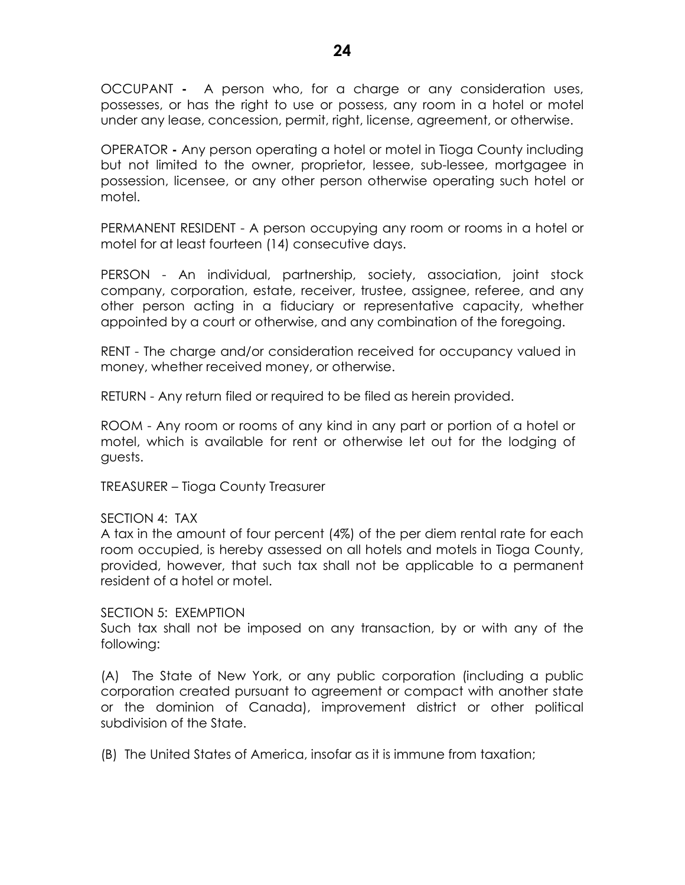OCCUPANT **-** A person who, for a charge or any consideration uses, possesses, or has the right to use or possess, any room in a hotel or motel under any lease, concession, permit, right, license, agreement, or otherwise.

OPERATOR **-** Any person operating a hotel or motel in Tioga County including but not limited to the owner, proprietor, lessee, sub-lessee, mortgagee in possession, licensee, or any other person otherwise operating such hotel or motel.

PERMANENT RESIDENT - A person occupying any room or rooms in a hotel or motel for at least fourteen (14) consecutive days.

PERSON - An individual, partnership, society, association, joint stock company, corporation, estate, receiver, trustee, assignee, referee, and any other person acting in a fiduciary or representative capacity, whether appointed by a court or otherwise, and any combination of the foregoing.

RENT - The charge and/or consideration received for occupancy valued in money, whether received money, or otherwise.

RETURN - Any return filed or required to be filed as herein provided.

ROOM - Any room or rooms of any kind in any part or portion of a hotel or motel, which is available for rent or otherwise let out for the lodging of guests.

TREASURER – Tioga County Treasurer

## SECTION 4: TAX

A tax in the amount of four percent (4%) of the per diem rental rate for each room occupied, is hereby assessed on all hotels and motels in Tioga County, provided, however, that such tax shall not be applicable to a permanent resident of a hotel or motel.

SECTION 5: EXEMPTION

Such tax shall not be imposed on any transaction, by or with any of the following:

(A) The State of New York, or any public corporation (including a public corporation created pursuant to agreement or compact with another state or the dominion of Canada), improvement district or other political subdivision of the State.

(B) The United States of America, insofar as it is immune from taxation;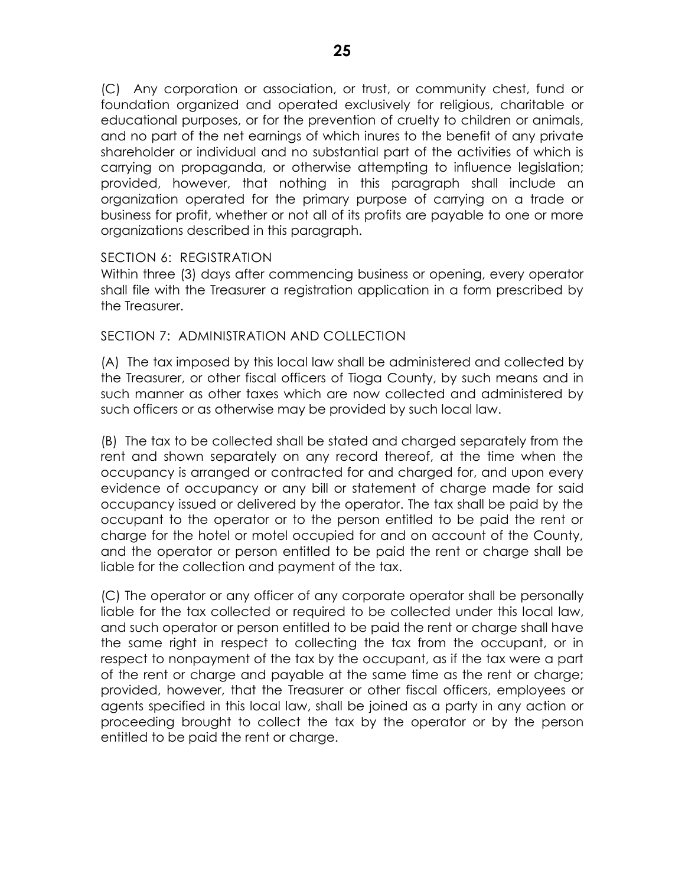(C) Any corporation or association, or trust, or community chest, fund or foundation organized and operated exclusively for religious, charitable or educational purposes, or for the prevention of cruelty to children or animals, and no part of the net earnings of which inures to the benefit of any private shareholder or individual and no substantial part of the activities of which is carrying on propaganda, or otherwise attempting to influence legislation; provided, however, that nothing in this paragraph shall include an organization operated for the primary purpose of carrying on a trade or business for profit, whether or not all of its profits are payable to one or more organizations described in this paragraph.

### SECTION 6: REGISTRATION

Within three (3) days after commencing business or opening, every operator shall file with the Treasurer a registration application in a form prescribed by the Treasurer.

### SECTION 7: ADMINISTRATION AND COLLECTION

(A) The tax imposed by this local law shall be administered and collected by the Treasurer, or other fiscal officers of Tioga County, by such means and in such manner as other taxes which are now collected and administered by such officers or as otherwise may be provided by such local law.

(B) The tax to be collected shall be stated and charged separately from the rent and shown separately on any record thereof, at the time when the occupancy is arranged or contracted for and charged for, and upon every evidence of occupancy or any bill or statement of charge made for said occupancy issued or delivered by the operator. The tax shall be paid by the occupant to the operator or to the person entitled to be paid the rent or charge for the hotel or motel occupied for and on account of the County, and the operator or person entitled to be paid the rent or charge shall be liable for the collection and payment of the tax.

(C) The operator or any officer of any corporate operator shall be personally liable for the tax collected or required to be collected under this local law, and such operator or person entitled to be paid the rent or charge shall have the same right in respect to collecting the tax from the occupant, or in respect to nonpayment of the tax by the occupant, as if the tax were a part of the rent or charge and payable at the same time as the rent or charge; provided, however, that the Treasurer or other fiscal officers, employees or agents specified in this local law, shall be joined as a party in any action or proceeding brought to collect the tax by the operator or by the person entitled to be paid the rent or charge.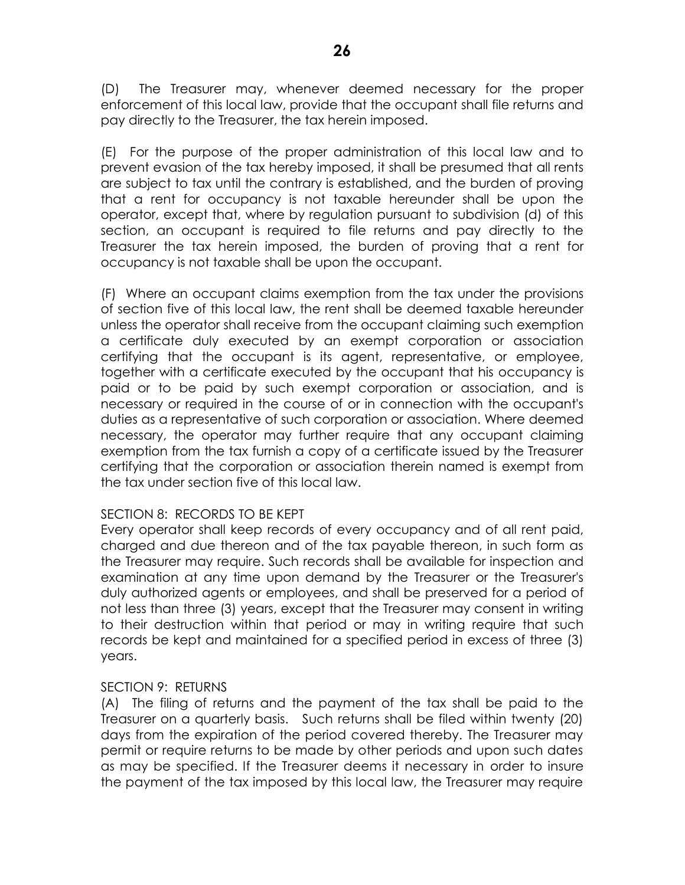(D) The Treasurer may, whenever deemed necessary for the proper enforcement of this local law, provide that the occupant shall file returns and pay directly to the Treasurer, the tax herein imposed.

(E) For the purpose of the proper administration of this local law and to prevent evasion of the tax hereby imposed, it shall be presumed that all rents are subject to tax until the contrary is established, and the burden of proving that a rent for occupancy is not taxable hereunder shall be upon the operator, except that, where by regulation pursuant to subdivision (d) of this section, an occupant is required to file returns and pay directly to the Treasurer the tax herein imposed, the burden of proving that a rent for occupancy is not taxable shall be upon the occupant.

(F) Where an occupant claims exemption from the tax under the provisions of section five of this local law, the rent shall be deemed taxable hereunder unless the operator shall receive from the occupant claiming such exemption a certificate duly executed by an exempt corporation or association certifying that the occupant is its agent, representative, or employee, together with a certificate executed by the occupant that his occupancy is paid or to be paid by such exempt corporation or association, and is necessary or required in the course of or in connection with the occupant's duties as a representative of such corporation or association. Where deemed necessary, the operator may further require that any occupant claiming exemption from the tax furnish a copy of a certificate issued by the Treasurer certifying that the corporation or association therein named is exempt from the tax under section five of this local law.

## SECTION 8: RECORDS TO BE KEPT

Every operator shall keep records of every occupancy and of all rent paid, charged and due thereon and of the tax payable thereon, in such form as the Treasurer may require. Such records shall be available for inspection and examination at any time upon demand by the Treasurer or the Treasurer's duly authorized agents or employees, and shall be preserved for a period of not less than three (3) years, except that the Treasurer may consent in writing to their destruction within that period or may in writing require that such records be kept and maintained for a specified period in excess of three (3) years.

## SECTION 9: RETURNS

(A) The filing of returns and the payment of the tax shall be paid to the Treasurer on a quarterly basis. Such returns shall be filed within twenty (20) days from the expiration of the period covered thereby. The Treasurer may permit or require returns to be made by other periods and upon such dates as may be specified. If the Treasurer deems it necessary in order to insure the payment of the tax imposed by this local law, the Treasurer may require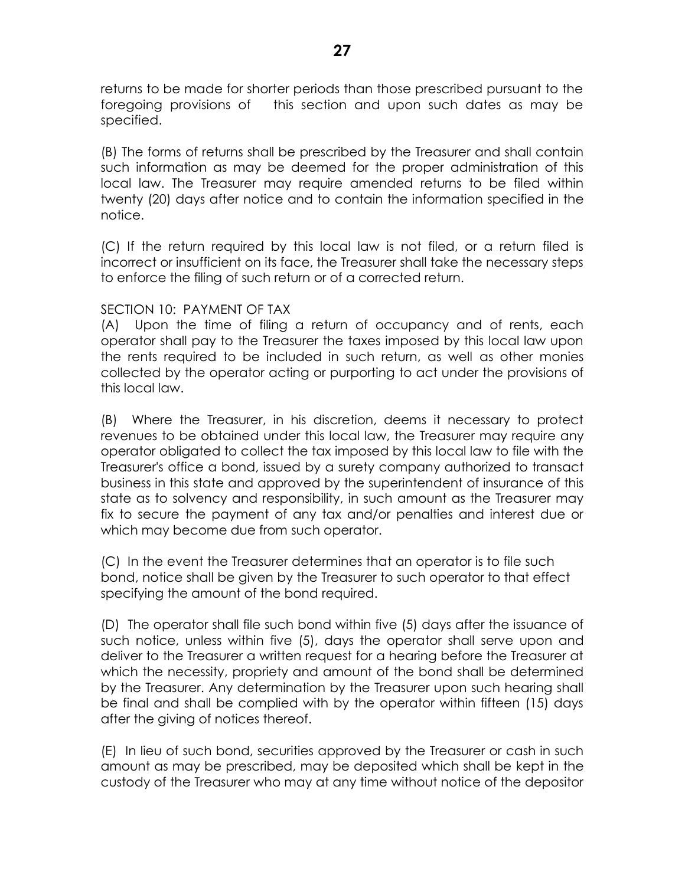returns to be made for shorter periods than those prescribed pursuant to the foregoing provisions of this section and upon such dates as may be specified.

(B) The forms of returns shall be prescribed by the Treasurer and shall contain such information as may be deemed for the proper administration of this local law. The Treasurer may require amended returns to be filed within twenty (20) days after notice and to contain the information specified in the notice.

(C) If the return required by this local law is not filed, or a return filed is incorrect or insufficient on its face, the Treasurer shall take the necessary steps to enforce the filing of such return or of a corrected return.

## SECTION 10: PAYMENT OF TAX

(A) Upon the time of filing a return of occupancy and of rents, each operator shall pay to the Treasurer the taxes imposed by this local law upon the rents required to be included in such return, as well as other monies collected by the operator acting or purporting to act under the provisions of this local law.

(B) Where the Treasurer, in his discretion, deems it necessary to protect revenues to be obtained under this local law, the Treasurer may require any operator obligated to collect the tax imposed by this local law to file with the Treasurer's office a bond, issued by a surety company authorized to transact business in this state and approved by the superintendent of insurance of this state as to solvency and responsibility, in such amount as the Treasurer may fix to secure the payment of any tax and/or penalties and interest due or which may become due from such operator.

(C) In the event the Treasurer determines that an operator is to file such bond, notice shall be given by the Treasurer to such operator to that effect specifying the amount of the bond required.

(D) The operator shall file such bond within five (5) days after the issuance of such notice, unless within five (5), days the operator shall serve upon and deliver to the Treasurer a written request for a hearing before the Treasurer at which the necessity, propriety and amount of the bond shall be determined by the Treasurer. Any determination by the Treasurer upon such hearing shall be final and shall be complied with by the operator within fifteen (15) days after the giving of notices thereof.

(E) In lieu of such bond, securities approved by the Treasurer or cash in such amount as may be prescribed, may be deposited which shall be kept in the custody of the Treasurer who may at any time without notice of the depositor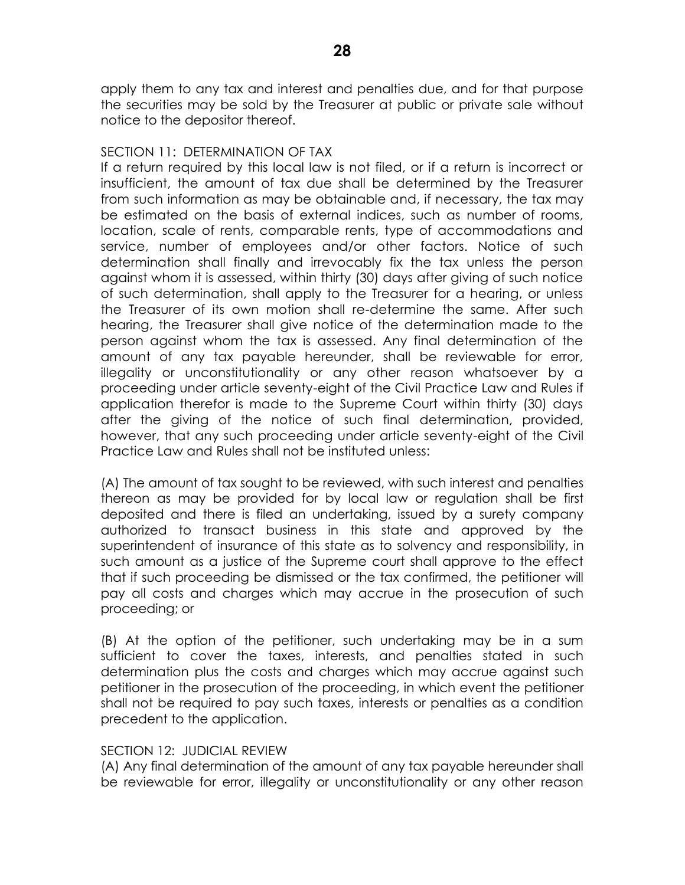apply them to any tax and interest and penalties due, and for that purpose the securities may be sold by the Treasurer at public or private sale without notice to the depositor thereof.

## SECTION 11: DETERMINATION OF TAX

If a return required by this local law is not filed, or if a return is incorrect or insufficient, the amount of tax due shall be determined by the Treasurer from such information as may be obtainable and, if necessary, the tax may be estimated on the basis of external indices, such as number of rooms, location, scale of rents, comparable rents, type of accommodations and service, number of employees and/or other factors. Notice of such determination shall finally and irrevocably fix the tax unless the person against whom it is assessed, within thirty (30) days after giving of such notice of such determination, shall apply to the Treasurer for a hearing, or unless the Treasurer of its own motion shall re-determine the same. After such hearing, the Treasurer shall give notice of the determination made to the person against whom the tax is assessed. Any final determination of the amount of any tax payable hereunder, shall be reviewable for error, illegality or unconstitutionality or any other reason whatsoever by a proceeding under article seventy-eight of the Civil Practice Law and Rules if application therefor is made to the Supreme Court within thirty (30) days after the giving of the notice of such final determination, provided, however, that any such proceeding under article seventy-eight of the Civil Practice Law and Rules shall not be instituted unless:

(A) The amount of tax sought to be reviewed, with such interest and penalties thereon as may be provided for by local law or regulation shall be first deposited and there is filed an undertaking, issued by a surety company authorized to transact business in this state and approved by the superintendent of insurance of this state as to solvency and responsibility, in such amount as a justice of the Supreme court shall approve to the effect that if such proceeding be dismissed or the tax confirmed, the petitioner will pay all costs and charges which may accrue in the prosecution of such proceeding; or

(B) At the option of the petitioner, such undertaking may be in a sum sufficient to cover the taxes, interests, and penalties stated in such determination plus the costs and charges which may accrue against such petitioner in the prosecution of the proceeding, in which event the petitioner shall not be required to pay such taxes, interests or penalties as a condition precedent to the application.

## SECTION 12: JUDICIAL REVIEW

(A) Any final determination of the amount of any tax payable hereunder shall be reviewable for error, illegality or unconstitutionality or any other reason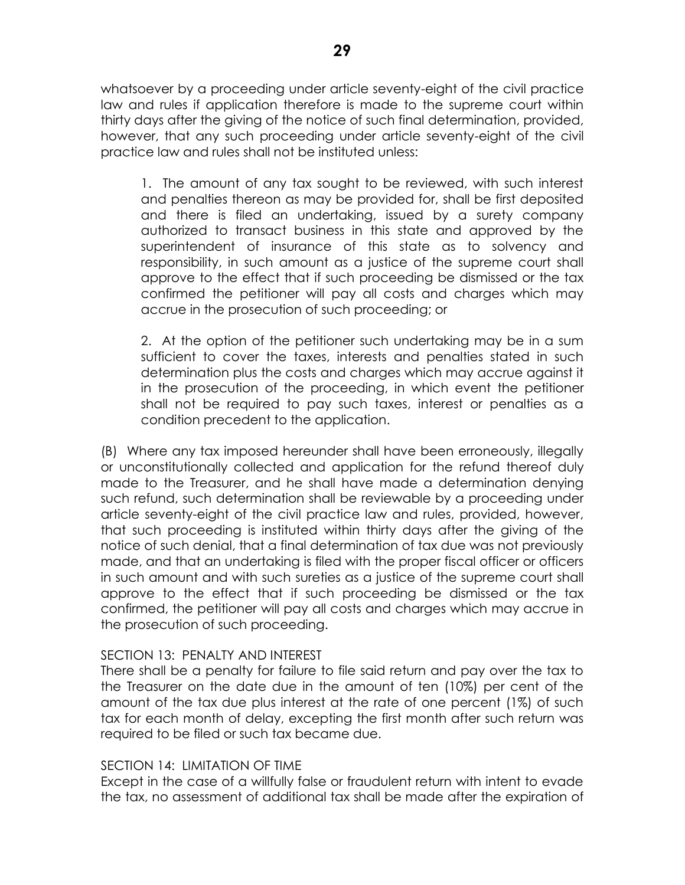whatsoever by a proceeding under article seventy-eight of the civil practice law and rules if application therefore is made to the supreme court within thirty days after the giving of the notice of such final determination, provided, however, that any such proceeding under article seventy-eight of the civil practice law and rules shall not be instituted unless:

1. The amount of any tax sought to be reviewed, with such interest and penalties thereon as may be provided for, shall be first deposited and there is filed an undertaking, issued by a surety company authorized to transact business in this state and approved by the superintendent of insurance of this state as to solvency and responsibility, in such amount as a justice of the supreme court shall approve to the effect that if such proceeding be dismissed or the tax confirmed the petitioner will pay all costs and charges which may accrue in the prosecution of such proceeding; or

2. At the option of the petitioner such undertaking may be in a sum sufficient to cover the taxes, interests and penalties stated in such determination plus the costs and charges which may accrue against it in the prosecution of the proceeding, in which event the petitioner shall not be required to pay such taxes, interest or penalties as a condition precedent to the application.

(B) Where any tax imposed hereunder shall have been erroneously, illegally or unconstitutionally collected and application for the refund thereof duly made to the Treasurer, and he shall have made a determination denying such refund, such determination shall be reviewable by a proceeding under article seventy-eight of the civil practice law and rules, provided, however, that such proceeding is instituted within thirty days after the giving of the notice of such denial, that a final determination of tax due was not previously made, and that an undertaking is filed with the proper fiscal officer or officers in such amount and with such sureties as a justice of the supreme court shall approve to the effect that if such proceeding be dismissed or the tax confirmed, the petitioner will pay all costs and charges which may accrue in the prosecution of such proceeding.

## SECTION 13: PENALTY AND INTEREST

There shall be a penalty for failure to file said return and pay over the tax to the Treasurer on the date due in the amount of ten (10%) per cent of the amount of the tax due plus interest at the rate of one percent (1%) of such tax for each month of delay, excepting the first month after such return was required to be filed or such tax became due.

## SECTION 14: LIMITATION OF TIME

Except in the case of a willfully false or fraudulent return with intent to evade the tax, no assessment of additional tax shall be made after the expiration of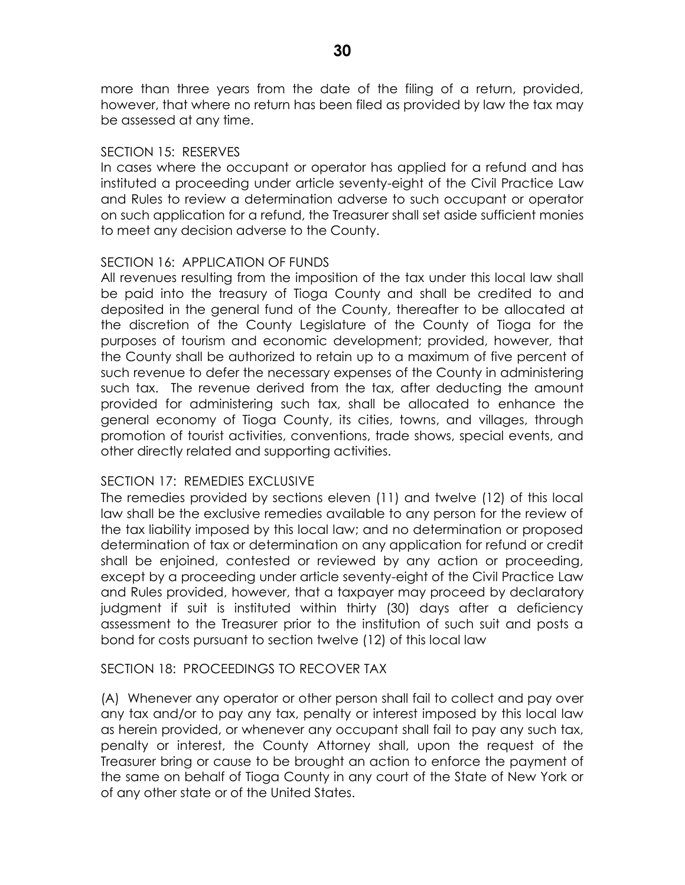more than three years from the date of the filing of a return, provided, however, that where no return has been filed as provided by law the tax may be assessed at any time.

### SECTION 15: RESERVES

In cases where the occupant or operator has applied for a refund and has instituted a proceeding under article seventy-eight of the Civil Practice Law and Rules to review a determination adverse to such occupant or operator on such application for a refund, the Treasurer shall set aside sufficient monies to meet any decision adverse to the County.

### SECTION 16: APPLICATION OF FUNDS

All revenues resulting from the imposition of the tax under this local law shall be paid into the treasury of Tioga County and shall be credited to and deposited in the general fund of the County, thereafter to be allocated at the discretion of the County Legislature of the County of Tioga for the purposes of tourism and economic development; provided, however, that the County shall be authorized to retain up to a maximum of five percent of such revenue to defer the necessary expenses of the County in administering such tax. The revenue derived from the tax, after deducting the amount provided for administering such tax, shall be allocated to enhance the general economy of Tioga County, its cities, towns, and villages, through promotion of tourist activities, conventions, trade shows, special events, and other directly related and supporting activities.

## SECTION 17: REMEDIES EXCLUSIVE

The remedies provided by sections eleven (11) and twelve (12) of this local law shall be the exclusive remedies available to any person for the review of the tax liability imposed by this local law; and no determination or proposed determination of tax or determination on any application for refund or credit shall be enjoined, contested or reviewed by any action or proceeding, except by a proceeding under article seventy-eight of the Civil Practice Law and Rules provided, however, that a taxpayer may proceed by declaratory judgment if suit is instituted within thirty (30) days after a deficiency assessment to the Treasurer prior to the institution of such suit and posts a bond for costs pursuant to section twelve (12) of this local law

## SECTION 18: PROCEEDINGS TO RECOVER TAX

(A) Whenever any operator or other person shall fail to collect and pay over any tax and/or to pay any tax, penalty or interest imposed by this local law as herein provided, or whenever any occupant shall fail to pay any such tax, penalty or interest, the County Attorney shall, upon the request of the Treasurer bring or cause to be brought an action to enforce the payment of the same on behalf of Tioga County in any court of the State of New York or of any other state or of the United States.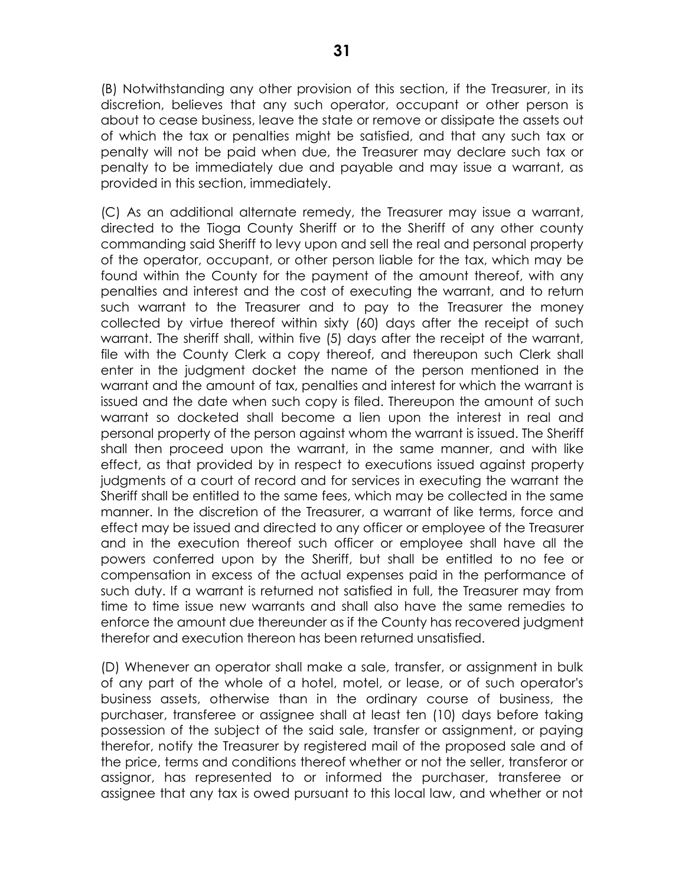(B) Notwithstanding any other provision of this section, if the Treasurer, in its discretion, believes that any such operator, occupant or other person is about to cease business, leave the state or remove or dissipate the assets out of which the tax or penalties might be satisfied, and that any such tax or penalty will not be paid when due, the Treasurer may declare such tax or penalty to be immediately due and payable and may issue a warrant, as provided in this section, immediately.

(C) As an additional alternate remedy, the Treasurer may issue a warrant, directed to the Tioga County Sheriff or to the Sheriff of any other county commanding said Sheriff to levy upon and sell the real and personal property of the operator, occupant, or other person liable for the tax, which may be found within the County for the payment of the amount thereof, with any penalties and interest and the cost of executing the warrant, and to return such warrant to the Treasurer and to pay to the Treasurer the money collected by virtue thereof within sixty (60) days after the receipt of such warrant. The sheriff shall, within five (5) days after the receipt of the warrant, file with the County Clerk a copy thereof, and thereupon such Clerk shall enter in the judgment docket the name of the person mentioned in the warrant and the amount of tax, penalties and interest for which the warrant is issued and the date when such copy is filed. Thereupon the amount of such warrant so docketed shall become a lien upon the interest in real and personal property of the person against whom the warrant is issued. The Sheriff shall then proceed upon the warrant, in the same manner, and with like effect, as that provided by in respect to executions issued against property judgments of a court of record and for services in executing the warrant the Sheriff shall be entitled to the same fees, which may be collected in the same manner. In the discretion of the Treasurer, a warrant of like terms, force and effect may be issued and directed to any officer or employee of the Treasurer and in the execution thereof such officer or employee shall have all the powers conferred upon by the Sheriff, but shall be entitled to no fee or compensation in excess of the actual expenses paid in the performance of such duty. If a warrant is returned not satisfied in full, the Treasurer may from time to time issue new warrants and shall also have the same remedies to enforce the amount due thereunder as if the County has recovered judgment therefor and execution thereon has been returned unsatisfied.

(D) Whenever an operator shall make a sale, transfer, or assignment in bulk of any part of the whole of a hotel, motel, or lease, or of such operator's business assets, otherwise than in the ordinary course of business, the purchaser, transferee or assignee shall at least ten (10) days before taking possession of the subject of the said sale, transfer or assignment, or paying therefor, notify the Treasurer by registered mail of the proposed sale and of the price, terms and conditions thereof whether or not the seller, transferor or assignor, has represented to or informed the purchaser, transferee or assignee that any tax is owed pursuant to this local law, and whether or not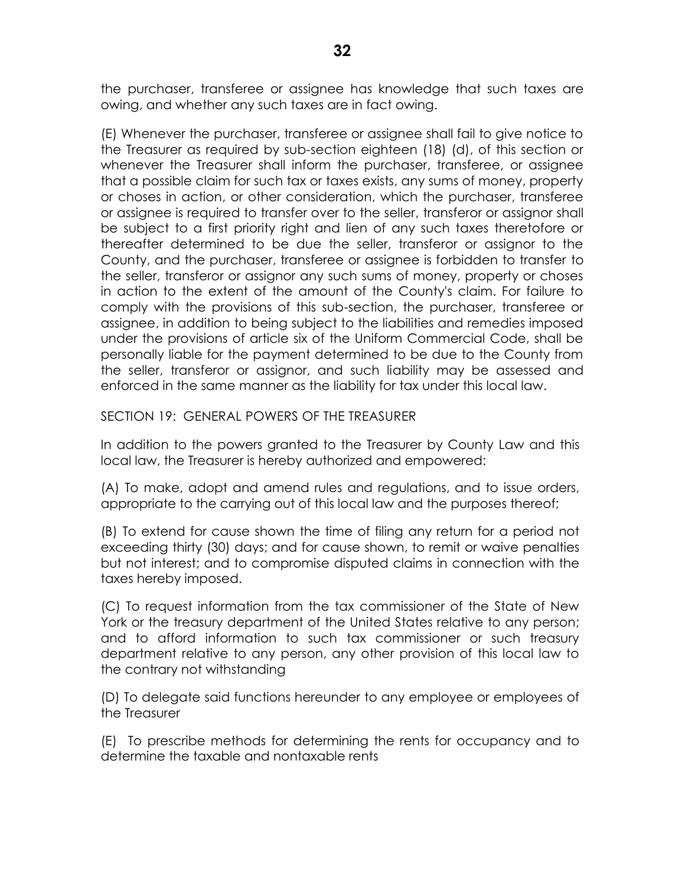the purchaser, transferee or assignee has knowledge that such taxes are owing, and whether any such taxes are in fact owing.

(E) Whenever the purchaser, transferee or assignee shall fail to give notice to the Treasurer as required by sub-section eighteen (18) (d), of this section or whenever the Treasurer shall inform the purchaser, transferee, or assignee that a possible claim for such tax or taxes exists, any sums of money, property or choses in action, or other consideration, which the purchaser, transferee or assignee is required to transfer over to the seller, transferor or assignor shall be subject to a first priority right and lien of any such taxes theretofore or thereafter determined to be due the seller, transferor or assignor to the County, and the purchaser, transferee or assignee is forbidden to transfer to the seller, transferor or assignor any such sums of money, property or choses in action to the extent of the amount of the County's claim. For failure to comply with the provisions of this sub-section, the purchaser, transferee or assignee, in addition to being subject to the liabilities and remedies imposed under the provisions of article six of the Uniform Commercial Code, shall be personally liable for the payment determined to be due to the County from the seller, transferor or assignor, and such liability may be assessed and enforced in the same manner as the liability for tax under this local law.

SECTION 19: GENERAL POWERS OF THE TREASURER

In addition to the powers granted to the Treasurer by County Law and this local law, the Treasurer is hereby authorized and empowered:

(A) To make, adopt and amend rules and regulations, and to issue orders, appropriate to the carrying out of this local law and the purposes thereof;

(B) To extend for cause shown the time of filing any return for a period not exceeding thirty (30) days; and for cause shown, to remit or waive penalties but not interest; and to compromise disputed claims in connection with the taxes hereby imposed.

(C) To request information from the tax commissioner of the State of New York or the treasury department of the United States relative to any person; and to afford information to such tax commissioner or such treasury department relative to any person, any other provision of this local law to the contrary not withstanding

(D) To delegate said functions hereunder to any employee or employees of the Treasurer

(E) To prescribe methods for determining the rents for occupancy and to determine the taxable and nontaxable rents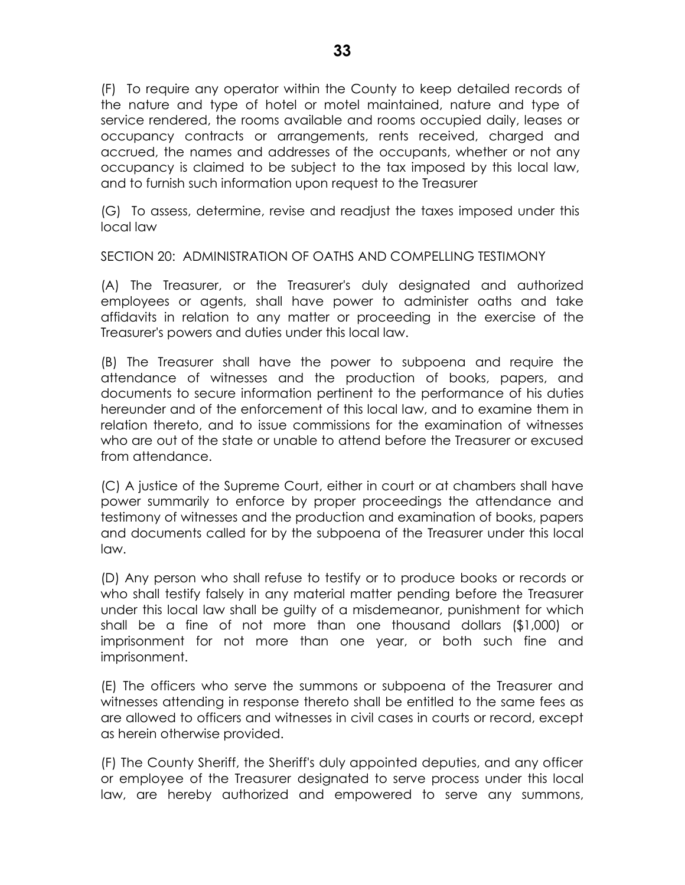(F) To require any operator within the County to keep detailed records of the nature and type of hotel or motel maintained, nature and type of service rendered, the rooms available and rooms occupied daily, leases or occupancy contracts or arrangements, rents received, charged and accrued, the names and addresses of the occupants, whether or not any occupancy is claimed to be subject to the tax imposed by this local law, and to furnish such information upon request to the Treasurer

(G) To assess, determine, revise and readjust the taxes imposed under this local law

SECTION 20: ADMINISTRATION OF OATHS AND COMPELLING TESTIMONY

(A) The Treasurer, or the Treasurer's duly designated and authorized employees or agents, shall have power to administer oaths and take affidavits in relation to any matter or proceeding in the exercise of the Treasurer's powers and duties under this local law.

(B) The Treasurer shall have the power to subpoena and require the attendance of witnesses and the production of books, papers, and documents to secure information pertinent to the performance of his duties hereunder and of the enforcement of this local law, and to examine them in relation thereto, and to issue commissions for the examination of witnesses who are out of the state or unable to attend before the Treasurer or excused from attendance.

(C) A justice of the Supreme Court, either in court or at chambers shall have power summarily to enforce by proper proceedings the attendance and testimony of witnesses and the production and examination of books, papers and documents called for by the subpoena of the Treasurer under this local law.

(D) Any person who shall refuse to testify or to produce books or records or who shall testify falsely in any material matter pending before the Treasurer under this local law shall be guilty of a misdemeanor, punishment for which shall be a fine of not more than one thousand dollars (\$1,000) or imprisonment for not more than one year, or both such fine and imprisonment.

(E) The officers who serve the summons or subpoena of the Treasurer and witnesses attending in response thereto shall be entitled to the same fees as are allowed to officers and witnesses in civil cases in courts or record, except as herein otherwise provided.

(F) The County Sheriff, the Sheriff's duly appointed deputies, and any officer or employee of the Treasurer designated to serve process under this local law, are hereby authorized and empowered to serve any summons,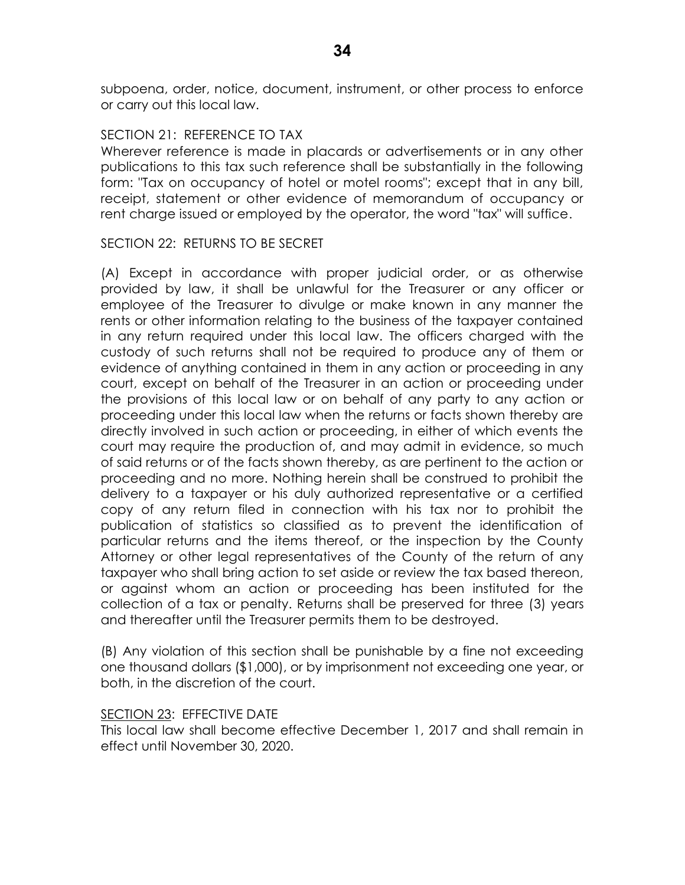subpoena, order, notice, document, instrument, or other process to enforce or carry out this local law.

### SECTION 21: REFERENCE TO TAX

Wherever reference is made in placards or advertisements or in any other publications to this tax such reference shall be substantially in the following form: "Tax on occupancy of hotel or motel rooms"; except that in any bill, receipt, statement or other evidence of memorandum of occupancy or rent charge issued or employed by the operator, the word "tax" will suffice.

#### SECTION 22: RETURNS TO BE SECRET

(A) Except in accordance with proper judicial order, or as otherwise provided by law, it shall be unlawful for the Treasurer or any officer or employee of the Treasurer to divulge or make known in any manner the rents or other information relating to the business of the taxpayer contained in any return required under this local law. The officers charged with the custody of such returns shall not be required to produce any of them or evidence of anything contained in them in any action or proceeding in any court, except on behalf of the Treasurer in an action or proceeding under the provisions of this local law or on behalf of any party to any action or proceeding under this local law when the returns or facts shown thereby are directly involved in such action or proceeding, in either of which events the court may require the production of, and may admit in evidence, so much of said returns or of the facts shown thereby, as are pertinent to the action or proceeding and no more. Nothing herein shall be construed to prohibit the delivery to a taxpayer or his duly authorized representative or a certified copy of any return filed in connection with his tax nor to prohibit the publication of statistics so classified as to prevent the identification of particular returns and the items thereof, or the inspection by the County Attorney or other legal representatives of the County of the return of any taxpayer who shall bring action to set aside or review the tax based thereon, or against whom an action or proceeding has been instituted for the collection of a tax or penalty. Returns shall be preserved for three (3) years and thereafter until the Treasurer permits them to be destroyed.

(B) Any violation of this section shall be punishable by a fine not exceeding one thousand dollars (\$1,000), or by imprisonment not exceeding one year, or both, in the discretion of the court.

#### SECTION 23: EFFECTIVE DATE

This local law shall become effective December 1, 2017 and shall remain in effect until November 30, 2020.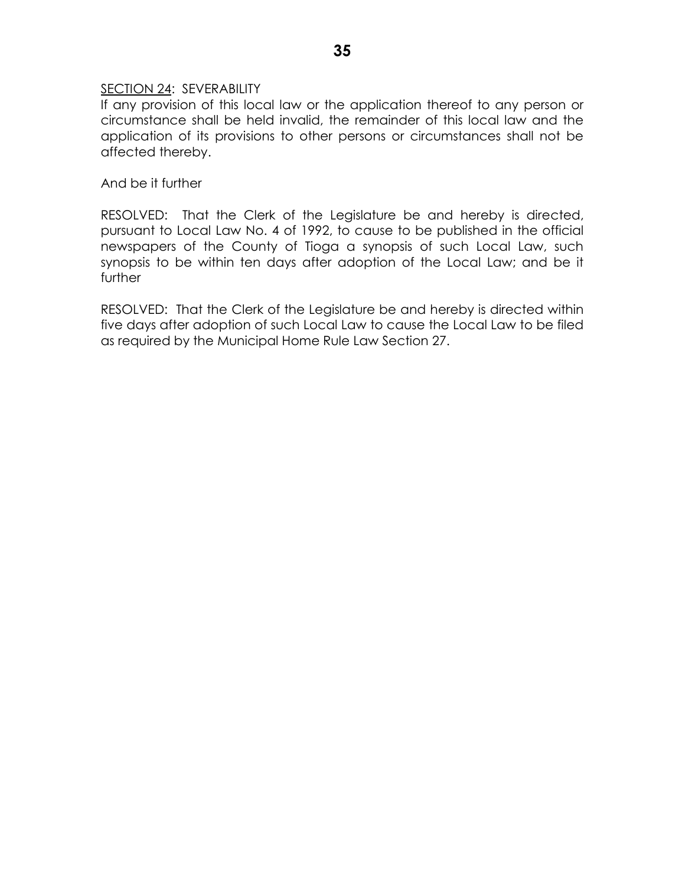#### SECTION 24: SEVERABILITY

If any provision of this local law or the application thereof to any person or circumstance shall be held invalid, the remainder of this local law and the application of its provisions to other persons or circumstances shall not be affected thereby.

#### And be it further

RESOLVED: That the Clerk of the Legislature be and hereby is directed, pursuant to Local Law No. 4 of 1992, to cause to be published in the official newspapers of the County of Tioga a synopsis of such Local Law, such synopsis to be within ten days after adoption of the Local Law; and be it further

RESOLVED: That the Clerk of the Legislature be and hereby is directed within five days after adoption of such Local Law to cause the Local Law to be filed as required by the Municipal Home Rule Law Section 27.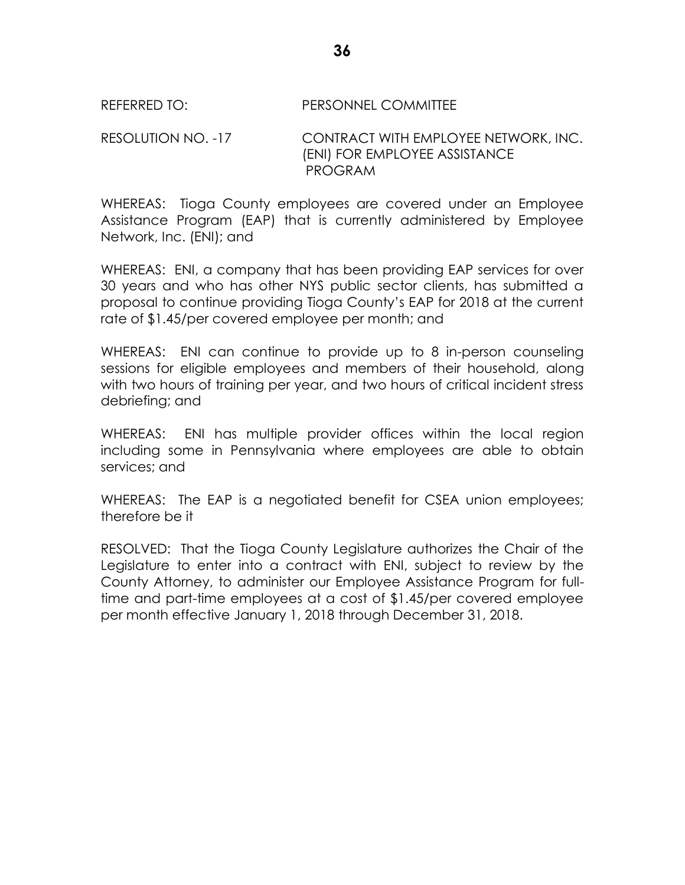## REFERRED TO: PERSONNEL COMMITTEE

RESOLUTION NO. -17 CONTRACT WITH EMPLOYEE NETWORK, INC. (ENI) FOR EMPLOYEE ASSISTANCE PROGRAM

WHEREAS: Tioga County employees are covered under an Employee Assistance Program (EAP) that is currently administered by Employee Network, Inc. (ENI); and

WHEREAS: ENI, a company that has been providing EAP services for over 30 years and who has other NYS public sector clients, has submitted a proposal to continue providing Tioga County's EAP for 2018 at the current rate of \$1.45/per covered employee per month; and

WHEREAS: ENI can continue to provide up to 8 in-person counseling sessions for eligible employees and members of their household, along with two hours of training per year, and two hours of critical incident stress debriefing; and

WHEREAS: ENI has multiple provider offices within the local region including some in Pennsylvania where employees are able to obtain services; and

WHEREAS: The EAP is a negotiated benefit for CSEA union employees; therefore be it

RESOLVED: That the Tioga County Legislature authorizes the Chair of the Legislature to enter into a contract with ENI, subject to review by the County Attorney, to administer our Employee Assistance Program for fulltime and part-time employees at a cost of \$1.45/per covered employee per month effective January 1, 2018 through December 31, 2018.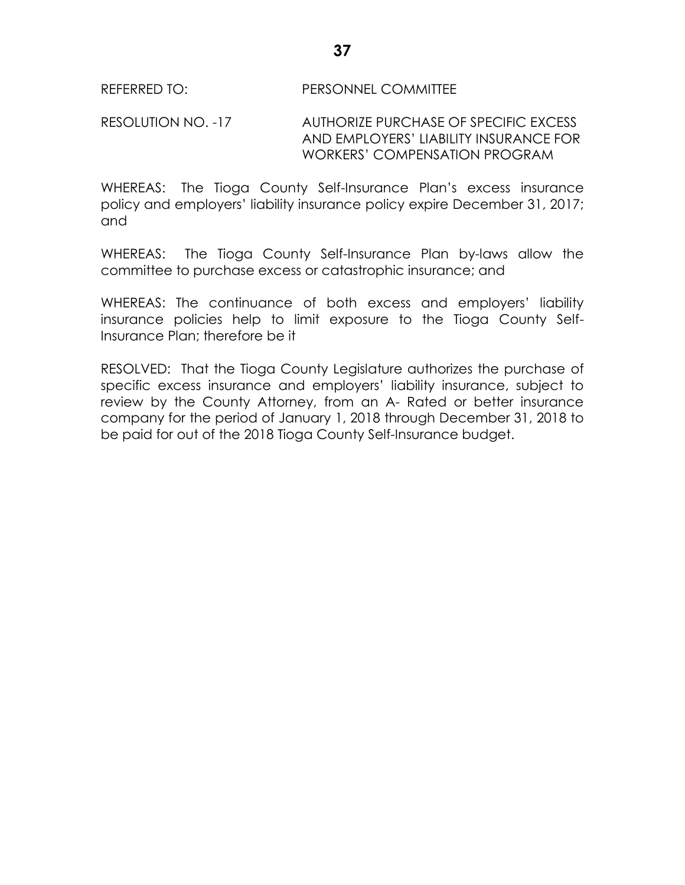## REFERRED TO: PERSONNEL COMMITTEE

RESOLUTION NO. -17 AUTHORIZE PURCHASE OF SPECIFIC EXCESS AND EMPLOYERS' LIABILITY INSURANCE FOR WORKERS' COMPENSATION PROGRAM

WHEREAS: The Tioga County Self-Insurance Plan's excess insurance policy and employers' liability insurance policy expire December 31, 2017; and

WHEREAS: The Tioga County Self-Insurance Plan by-laws allow the committee to purchase excess or catastrophic insurance; and

WHEREAS: The continuance of both excess and employers' liability insurance policies help to limit exposure to the Tioga County Self-Insurance Plan; therefore be it

RESOLVED: That the Tioga County Legislature authorizes the purchase of specific excess insurance and employers' liability insurance, subject to review by the County Attorney, from an A- Rated or better insurance company for the period of January 1, 2018 through December 31, 2018 to be paid for out of the 2018 Tioga County Self-Insurance budget.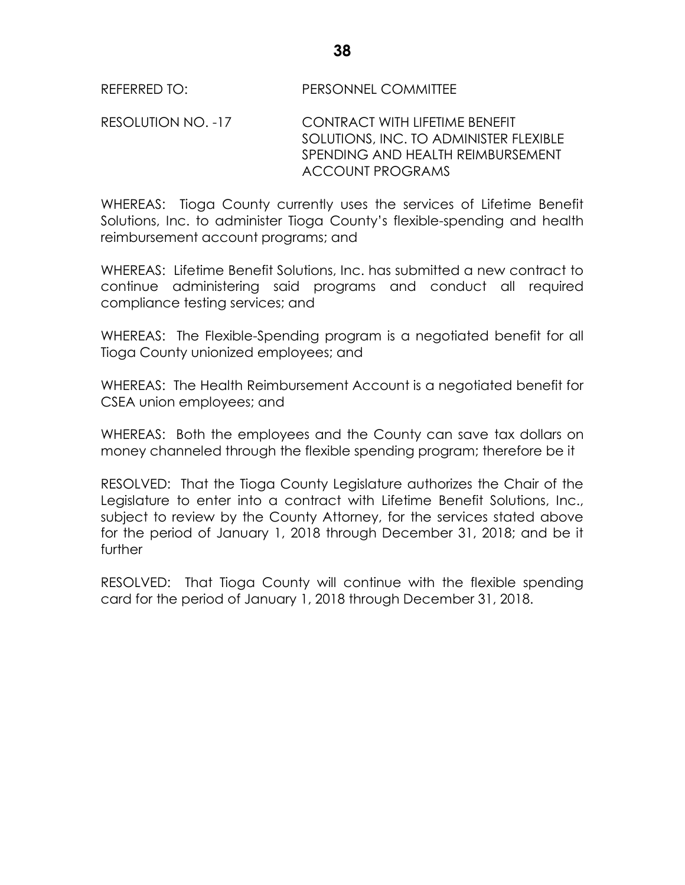RESOLUTION NO. -17 CONTRACT WITH LIFETIME BENEFIT SOLUTIONS, INC. TO ADMINISTER FLEXIBLE SPENDING AND HEALTH REIMBURSEMENT ACCOUNT PROGRAMS

WHEREAS: Tioga County currently uses the services of Lifetime Benefit Solutions, Inc. to administer Tioga County's flexible-spending and health reimbursement account programs; and

WHEREAS: Lifetime Benefit Solutions, Inc. has submitted a new contract to continue administering said programs and conduct all required compliance testing services; and

WHEREAS: The Flexible-Spending program is a negotiated benefit for all Tioga County unionized employees; and

WHEREAS: The Health Reimbursement Account is a negotiated benefit for CSEA union employees; and

WHEREAS: Both the employees and the County can save tax dollars on money channeled through the flexible spending program; therefore be it

RESOLVED: That the Tioga County Legislature authorizes the Chair of the Legislature to enter into a contract with Lifetime Benefit Solutions, Inc., subject to review by the County Attorney, for the services stated above for the period of January 1, 2018 through December 31, 2018; and be it further

RESOLVED: That Tioga County will continue with the flexible spending card for the period of January 1, 2018 through December 31, 2018.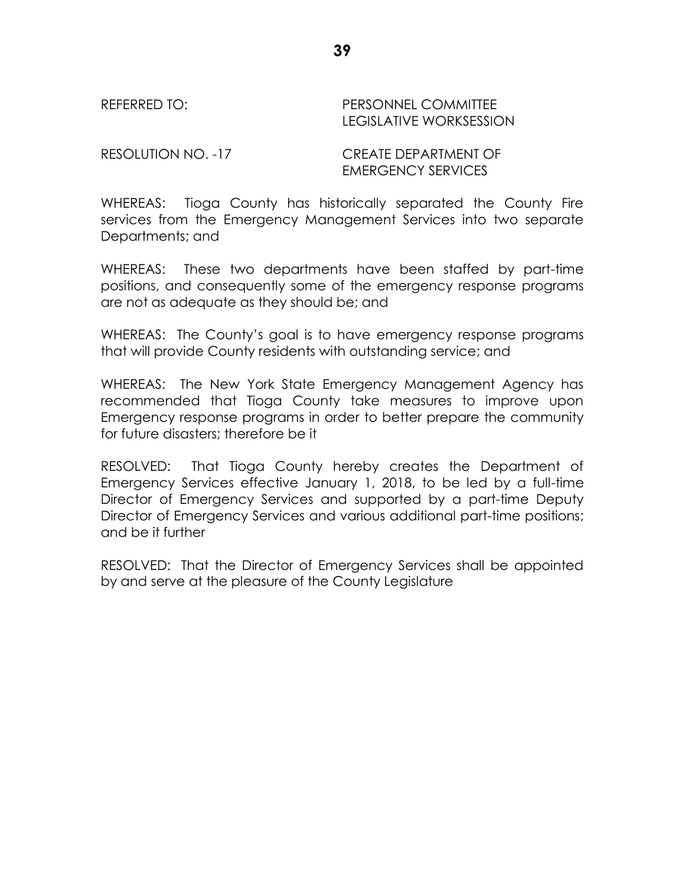REFERRED TO: PERSONNEL COMMITTEE LEGISLATIVE WORKSESSION

RESOLUTION NO. -17 CREATE DEPARTMENT OF EMERGENCY SERVICES

WHEREAS: Tioga County has historically separated the County Fire services from the Emergency Management Services into two separate Departments; and

WHEREAS: These two departments have been staffed by part-time positions, and consequently some of the emergency response programs are not as adequate as they should be; and

WHEREAS: The County's goal is to have emergency response programs that will provide County residents with outstanding service; and

WHEREAS: The New York State Emergency Management Agency has recommended that Tioga County take measures to improve upon Emergency response programs in order to better prepare the community for future disasters; therefore be it

RESOLVED: That Tioga County hereby creates the Department of Emergency Services effective January 1, 2018, to be led by a full-time Director of Emergency Services and supported by a part-time Deputy Director of Emergency Services and various additional part-time positions; and be it further

RESOLVED: That the Director of Emergency Services shall be appointed by and serve at the pleasure of the County Legislature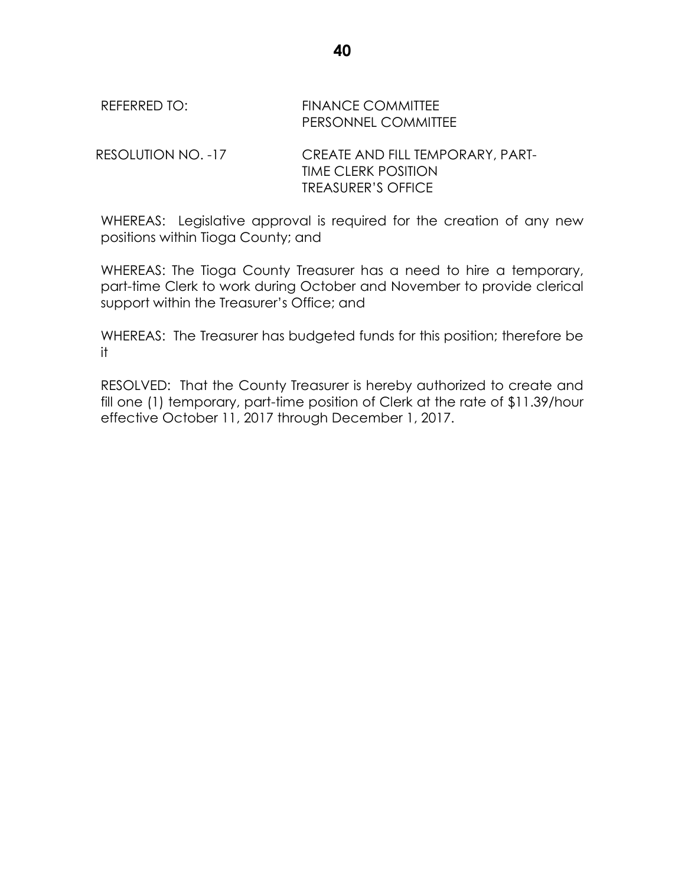# REFERRED TO: FINANCE COMMITTEE PERSONNEL COMMITTEE

RESOLUTION NO. -17 CREATE AND FILL TEMPORARY, PART-TIME CLERK POSITION TREASURER'S OFFICE

WHEREAS: Legislative approval is required for the creation of any new positions within Tioga County; and

WHEREAS: The Tioga County Treasurer has a need to hire a temporary, part-time Clerk to work during October and November to provide clerical support within the Treasurer's Office; and

WHEREAS: The Treasurer has budgeted funds for this position; therefore be it

RESOLVED: That the County Treasurer is hereby authorized to create and fill one (1) temporary, part-time position of Clerk at the rate of \$11.39/hour effective October 11, 2017 through December 1, 2017.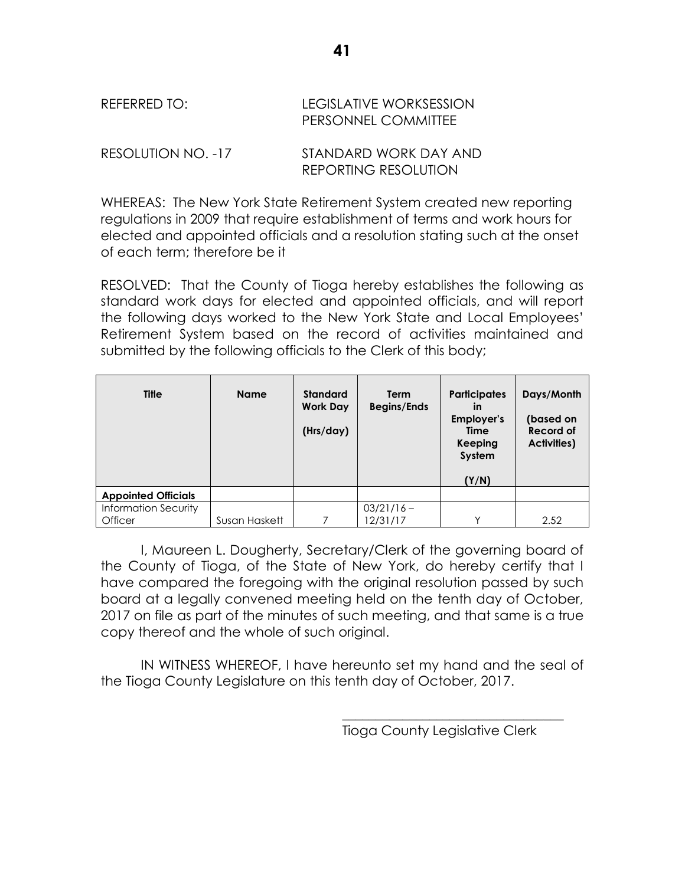| REFERRED TO:       | LEGISLATIVE WORKSESSION<br>PERSONNEL COMMITTEE |
|--------------------|------------------------------------------------|
| RESOLUTION NO. -17 | STANDARD WORK DAY AND                          |

WHEREAS: The New York State Retirement System created new reporting regulations in 2009 that require establishment of terms and work hours for elected and appointed officials and a resolution stating such at the onset of each term; therefore be it

REPORTING RESOLUTION

RESOLVED: That the County of Tioga hereby establishes the following as standard work days for elected and appointed officials, and will report the following days worked to the New York State and Local Employees' Retirement System based on the record of activities maintained and submitted by the following officials to the Clerk of this body;

| <b>Title</b>                | <b>Name</b>   | <b>Standard</b><br><b>Work Day</b><br>(Hrs/day) | <b>Term</b><br><b>Begins/Ends</b> | <b>Participates</b><br>in<br>Employer's<br>Time<br>Keeping<br>System<br>(Y/N) | Days/Month<br>(based on<br>Record of<br><b>Activities</b> ) |
|-----------------------------|---------------|-------------------------------------------------|-----------------------------------|-------------------------------------------------------------------------------|-------------------------------------------------------------|
| <b>Appointed Officials</b>  |               |                                                 |                                   |                                                                               |                                                             |
| <b>Information Security</b> |               |                                                 | $03/21/16 -$                      |                                                                               |                                                             |
| <b>Officer</b>              | Susan Haskett |                                                 | 12/31/17                          | $\checkmark$                                                                  | 2.52                                                        |

I, Maureen L. Dougherty, Secretary/Clerk of the governing board of the County of Tioga, of the State of New York, do hereby certify that I have compared the foregoing with the original resolution passed by such board at a legally convened meeting held on the tenth day of October, 2017 on file as part of the minutes of such meeting, and that same is a true copy thereof and the whole of such original.

IN WITNESS WHEREOF, I have hereunto set my hand and the seal of the Tioga County Legislature on this tenth day of October, 2017.

Tioga County Legislative Clerk

\_\_\_\_\_\_\_\_\_\_\_\_\_\_\_\_\_\_\_\_\_\_\_\_\_\_\_\_\_\_\_\_\_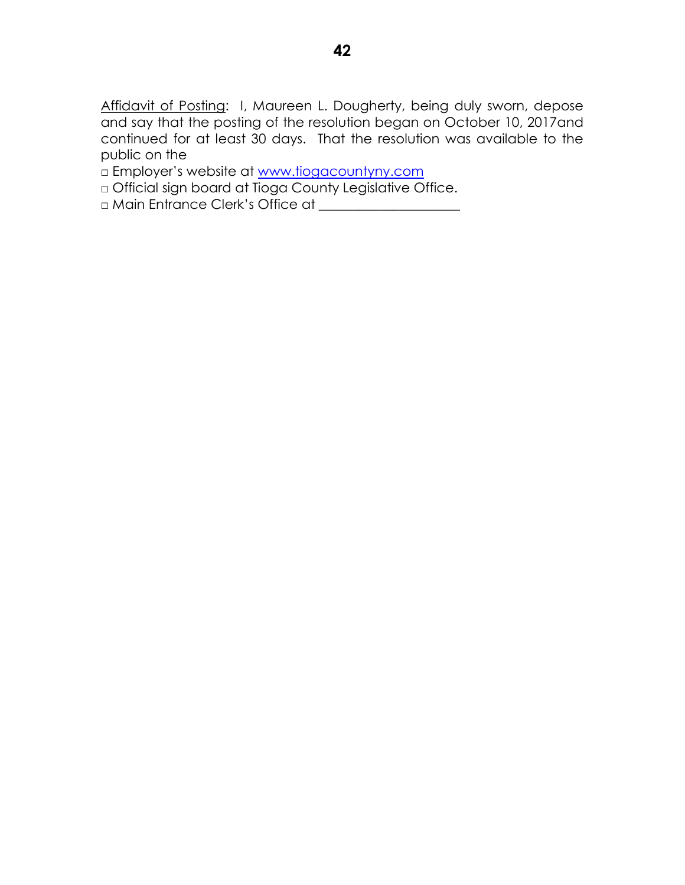Affidavit of Posting: I, Maureen L. Dougherty, being duly sworn, depose and say that the posting of the resolution began on October 10, 2017and continued for at least 30 days. That the resolution was available to the public on the

□ Employer's website at [www.tiogacountyny.com](http://www.tiogacountyny.com/)

□ Official sign board at Tioga County Legislative Office.

□ Main Entrance Clerk's Office at \_\_\_\_\_\_\_\_\_\_\_\_\_\_\_\_\_\_\_\_\_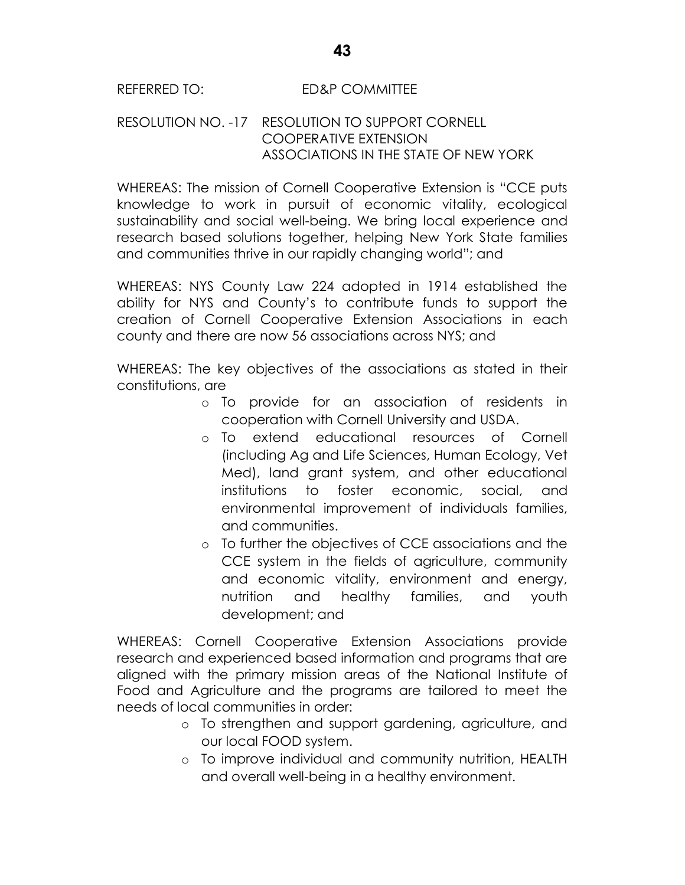## REFERRED TO: ED&P COMMITTEE

## RESOLUTION NO. -17 RESOLUTION TO SUPPORT CORNELL COOPERATIVE EXTENSION ASSOCIATIONS IN THE STATE OF NEW YORK

WHEREAS: The mission of Cornell Cooperative Extension is "CCE puts knowledge to work in pursuit of economic vitality, ecological sustainability and social well-being. We bring local experience and research based solutions together, helping New York State families and communities thrive in our rapidly changing world"; and

WHEREAS: NYS County Law 224 adopted in 1914 established the ability for NYS and County's to contribute funds to support the creation of Cornell Cooperative Extension Associations in each county and there are now 56 associations across NYS; and

WHEREAS: The key objectives of the associations as stated in their constitutions, are

- o To provide for an association of residents in cooperation with Cornell University and USDA.
- o To extend educational resources of Cornell (including Ag and Life Sciences, Human Ecology, Vet Med), land grant system, and other educational institutions to foster economic, social, and environmental improvement of individuals families, and communities.
- o To further the objectives of CCE associations and the CCE system in the fields of agriculture, community and economic vitality, environment and energy, nutrition and healthy families, and youth development; and

WHEREAS: Cornell Cooperative Extension Associations provide research and experienced based information and programs that are aligned with the primary mission areas of the National Institute of Food and Agriculture and the programs are tailored to meet the needs of local communities in order:

- o To strengthen and support gardening, agriculture, and our local FOOD system.
- o To improve individual and community nutrition, HEALTH and overall well-being in a healthy environment.